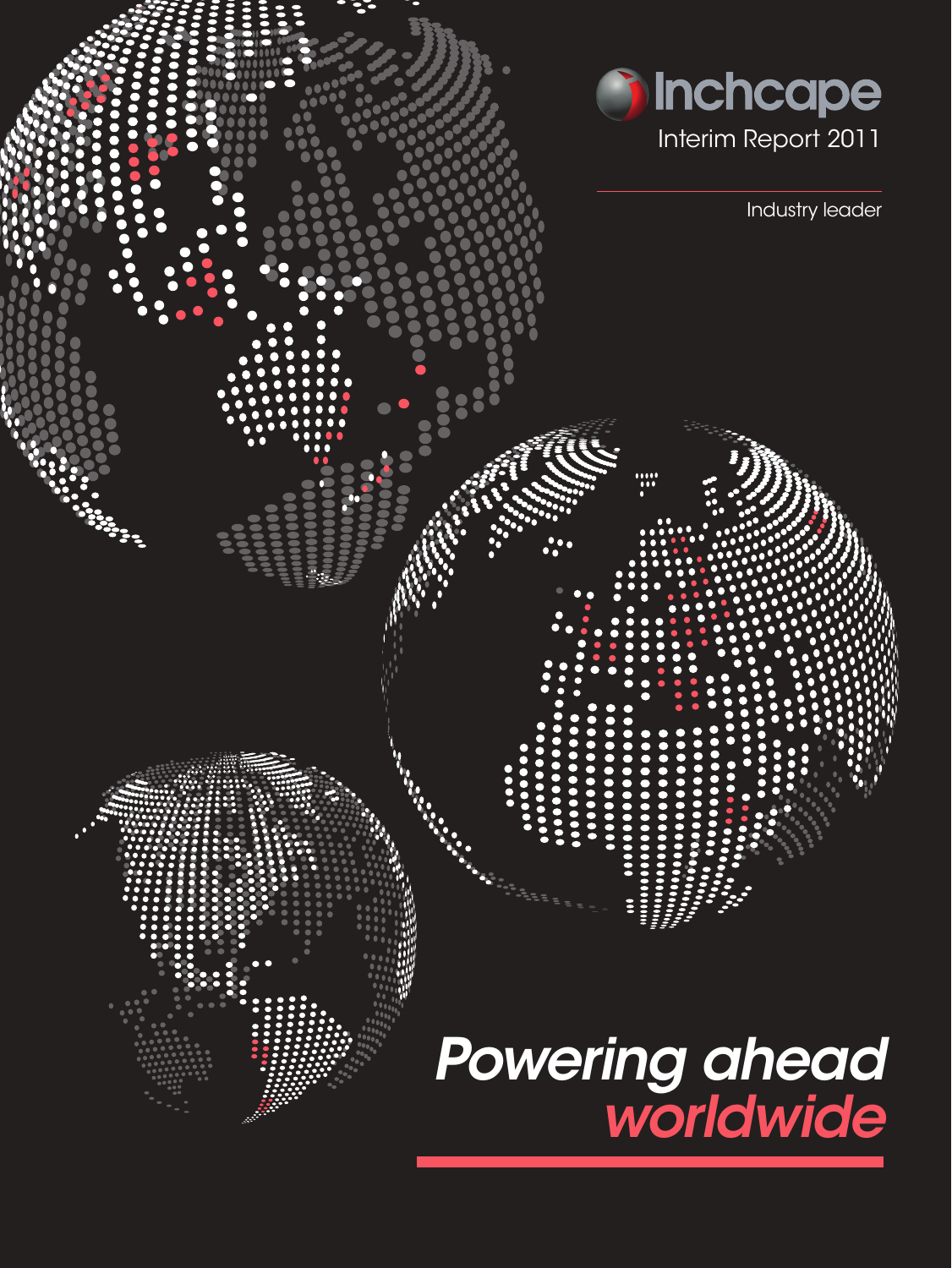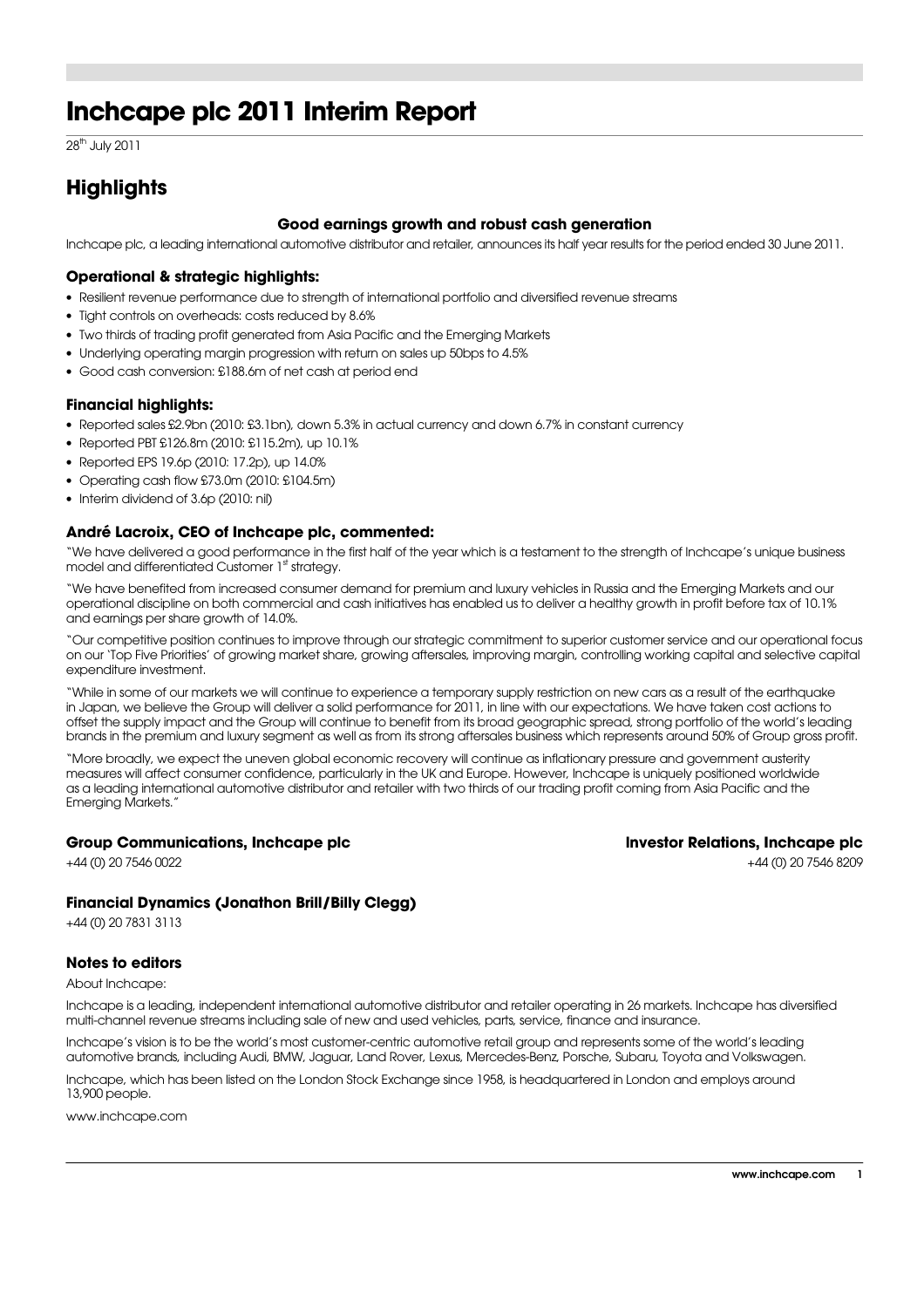## **Inchcape plc 2011 Interim Report**

28<sup>th</sup> July 2011

### **Highlights**

#### **Good earnings growth and robust cash generation**

Inchcape plc, a leading international automotive distributor and retailer, announces its half year results for the period ended 30 June 2011.

#### **Operational & strategic highlights:**

- Resilient revenue performance due to strength of international portfolio and diversified revenue streams
- Tight controls on overheads: costs reduced by 8.6%
- Two thirds of trading profit generated from Asia Pacific and the Emerging Markets
- Underlying operating margin progression with return on sales up 50bps to 4.5%
- Good cash conversion: £188.6m of net cash at period end

#### **Financial highlights:**

- Reported sales £2.9bn (2010: £3.1bn), down 5.3% in actual currency and down 6.7% in constant currency
- Reported PBT £126.8m (2010: £115.2m), up 10.1%
- Reported EPS 19.6p (2010: 17.2p), up 14.0%
- Operating cash flow £73.0m (2010: £104.5m)
- Interim dividend of 3.6p (2010: nil)

#### **André Lacroix, CEO of Inchcape plc, commented:**

"We have delivered a good performance in the first half of the year which is a testament to the strength of Inchcape's unique business model and differentiated Customer 1st strategy.

"We have benefited from increased consumer demand for premium and luxury vehicles in Russia and the Emerging Markets and our operational discipline on both commercial and cash initiatives has enabled us to deliver a healthy growth in profit before tax of 10.1% and earnings per share growth of 14.0%.

"Our competitive position continues to improve through our strategic commitment to superior customer service and our operational focus on our 'Top Five Priorities' of growing market share, growing aftersales, improving margin, controlling working capital and selective capital expenditure investment.

"While in some of our markets we will continue to experience a temporary supply restriction on new cars as a result of the earthquake in Japan, we believe the Group will deliver a solid performance for 2011, in line with our expectations. We have taken cost actions to offset the supply impact and the Group will continue to benefit from its broad geographic spread, strong portfolio of the world's leading brands in the premium and luxury segment as well as from its strong aftersales business which represents around 50% of Group gross profit.

"More broadly, we expect the uneven global economic recovery will continue as inflationary pressure and government austerity measures will affect consumer confidence, particularly in the UK and Europe. However, Inchcape is uniquely positioned worldwide as a leading international automotive distributor and retailer with two thirds of our trading profit coming from Asia Pacific and the Emerging Markets."

#### **Group Communications, Inchcape plc lnvestor Relations, Inchcape plc**

+44 (0) 20 7546 0022 +44 (0) 20 7546 8209

#### **Financial Dynamics (Jonathon Brill/Billy Clegg)**

+44 (0) 20 7831 3113

#### **Notes to editors**

About Inchcape:

Inchcape is a leading, independent international automotive distributor and retailer operating in 26 markets. Inchcape has diversified multi-channel revenue streams including sale of new and used vehicles, parts, service, finance and insurance.

Inchcape's vision is to be the world's most customer-centric automotive retail group and represents some of the world's leading automotive brands, including Audi, BMW, Jaguar, Land Rover, Lexus, Mercedes-Benz, Porsche, Subaru, Toyota and Volkswagen.

Inchcape, which has been listed on the London Stock Exchange since 1958, is headquartered in London and employs around 13,900 people.

www.inchcape.com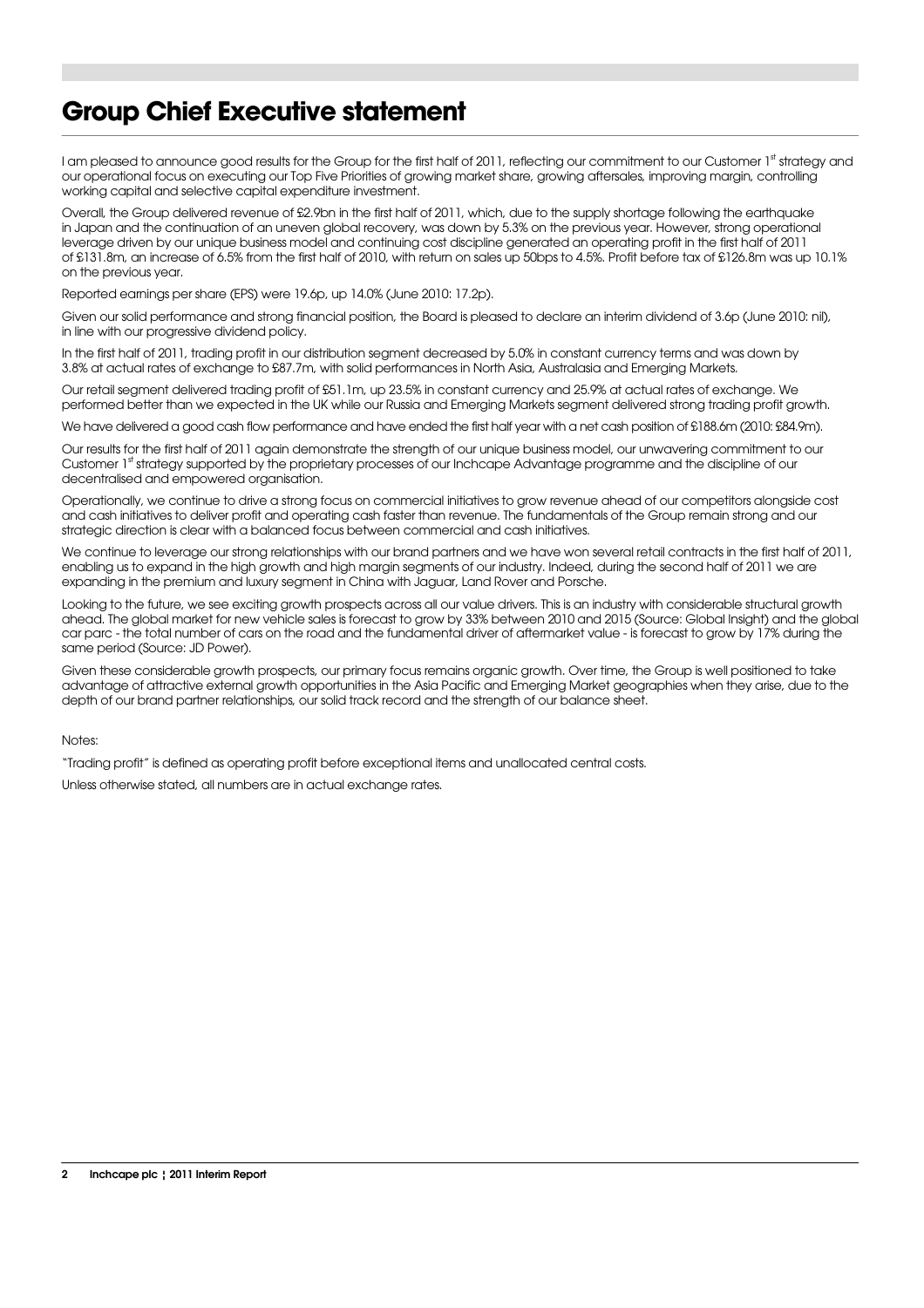## **Group Chief Executive statement**

I am pleased to announce good results for the Group for the first half of 2011, reflecting our commitment to our Customer 1st strategy and our operational focus on executing our Top Five Priorities of growing market share, growing aftersales, improving margin, controlling working capital and selective capital expenditure investment.

Overall, the Group delivered revenue of £2.9bn in the first half of 2011, which, due to the supply shortage following the earthquake in Japan and the continuation of an uneven global recovery, was down by 5.3% on the previous year. However, strong operational leverage driven by our unique business model and continuing cost discipline generated an operating profit in the first half of 2011 of £131.8m, an increase of 6.5% from the first half of 2010, with return on sales up 50bps to 4.5%. Profit before tax of £126.8m was up 10.1% on the previous year.

Reported earnings per share (EPS) were 19.6p, up 14.0% (June 2010: 17.2p).

Given our solid performance and strong financial position, the Board is pleased to declare an interim dividend of 3.6p (June 2010: nil), in line with our progressive dividend policy.

In the first half of 2011, trading profit in our distribution segment decreased by 5.0% in constant currency terms and was down by 3.8% at actual rates of exchange to £87.7m, with solid performances in North Asia, Australasia and Emerging Markets.

Our retail segment delivered trading profit of £51.1m, up 23.5% in constant currency and 25.9% at actual rates of exchange. We performed better than we expected in the UK while our Russia and Emerging Markets segment delivered strong trading profit growth.

We have delivered a good cash flow performance and have ended the first half year with a net cash position of £188.6m (2010: £84.9m).

Our results for the first half of 2011 again demonstrate the strength of our unique business model, our unwavering commitment to our Customer 1st strategy supported by the proprietary processes of our Inchcape Advantage programme and the discipline of our decentralised and empowered organisation.

Operationally, we continue to drive a strong focus on commercial initiatives to grow revenue ahead of our competitors alongside cost and cash initiatives to deliver profit and operating cash faster than revenue. The fundamentals of the Group remain strong and our strategic direction is clear with a balanced focus between commercial and cash initiatives.

We continue to leverage our strong relationships with our brand partners and we have won several retail contracts in the first half of 2011, enabling us to expand in the high growth and high margin segments of our industry. Indeed, during the second half of 2011 we are expanding in the premium and luxury segment in China with Jaguar, Land Rover and Porsche.

Looking to the future, we see exciting growth prospects across all our value drivers. This is an industry with considerable structural growth ahead. The global market for new vehicle sales is forecast to grow by 33% between 2010 and 2015 (Source: Global Insight) and the global car parc - the total number of cars on the road and the fundamental driver of aftermarket value - is forecast to grow by 17% during the same period (Source: JD Power).

Given these considerable growth prospects, our primary focus remains organic growth. Over time, the Group is well positioned to take advantage of attractive external growth opportunities in the Asia Pacific and Emerging Market geographies when they arise, due to the depth of our brand partner relationships, our solid track record and the strength of our balance sheet.

Notes:

"Trading profit" is defined as operating profit before exceptional items and unallocated central costs.

Unless otherwise stated, all numbers are in actual exchange rates.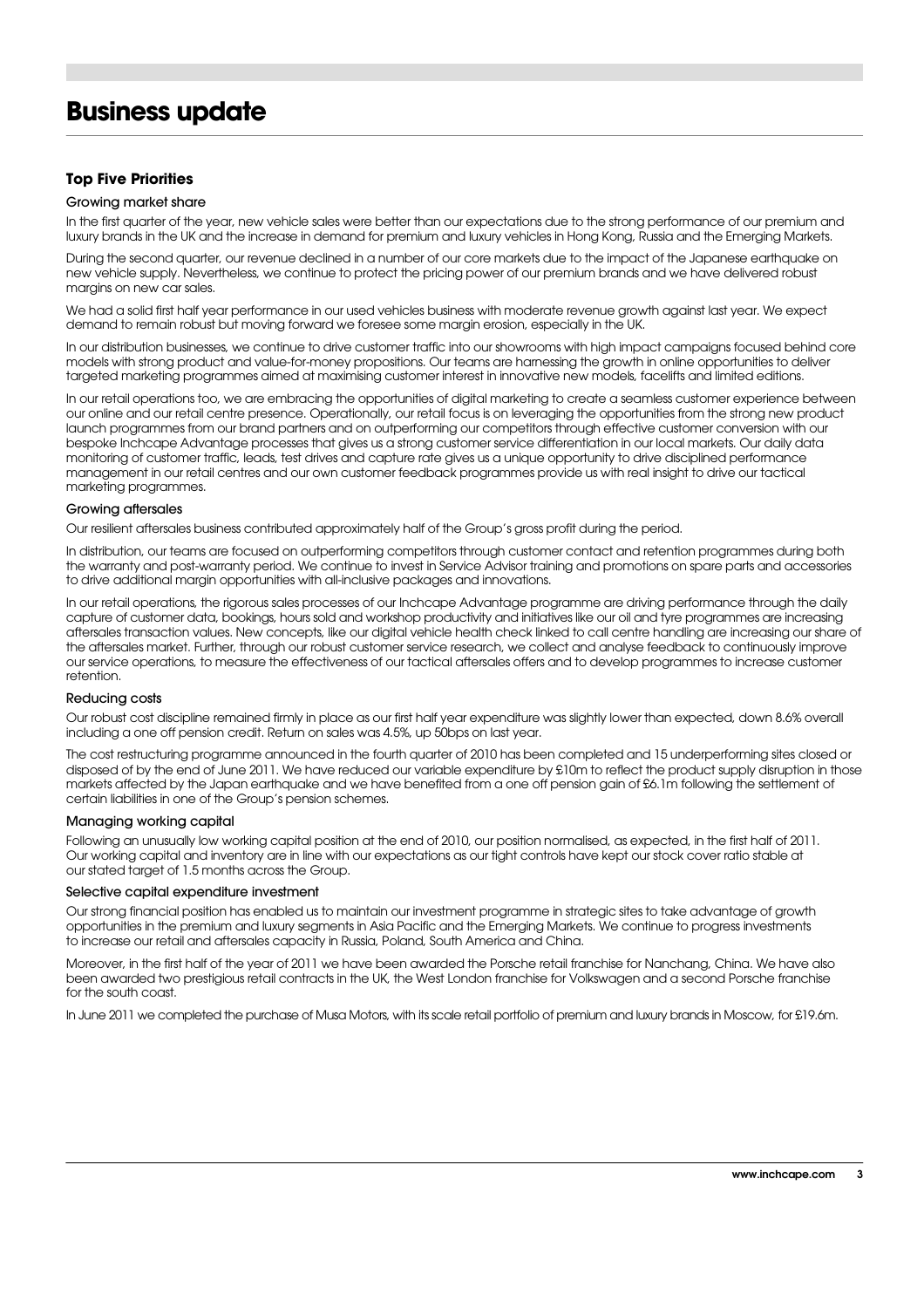## **Business update**

#### **Top Five Priorities**

#### Growing market share

In the first quarter of the year, new vehicle sales were better than our expectations due to the strong performance of our premium and luxury brands in the UK and the increase in demand for premium and luxury vehicles in Hong Kong, Russia and the Emerging Markets.

During the second quarter, our revenue declined in a number of our core markets due to the impact of the Japanese earthquake on new vehicle supply. Nevertheless, we continue to protect the pricing power of our premium brands and we have delivered robust margins on new car sales.

We had a solid first half year performance in our used vehicles business with moderate revenue growth against last year. We expect demand to remain robust but moving forward we foresee some margin erosion, especially in the UK.

In our distribution businesses, we continue to drive customer traffic into our showrooms with high impact campaigns focused behind core models with strong product and value-for-money propositions. Our teams are harnessing the growth in online opportunities to deliver targeted marketing programmes aimed at maximising customer interest in innovative new models, facelifts and limited editions.

In our retail operations too, we are embracing the opportunities of digital marketing to create a seamless customer experience between our online and our retail centre presence. Operationally, our retail focus is on leveraging the opportunities from the strong new product launch programmes from our brand partners and on outperforming our competitors through effective customer conversion with our bespoke Inchcape Advantage processes that gives us a strong customer service differentiation in our local markets. Our daily data monitoring of customer traffic, leads, test drives and capture rate gives us a unique opportunity to drive disciplined performance management in our retail centres and our own customer feedback programmes provide us with real insight to drive our tactical marketing programmes.

#### Growing aftersales

Our resilient aftersales business contributed approximately half of the Group's gross profit during the period.

In distribution, our teams are focused on outperforming competitors through customer contact and retention programmes during both the warranty and post-warranty period. We continue to invest in Service Advisor training and promotions on spare parts and accessories to drive additional margin opportunities with all-inclusive packages and innovations.

In our retail operations, the rigorous sales processes of our Inchcape Advantage programme are driving performance through the daily capture of customer data, bookings, hours sold and workshop productivity and initiatives like our oil and tyre programmes are increasing aftersales transaction values. New concepts, like our digital vehicle health check linked to call centre handling are increasing our share of the aftersales market. Further, through our robust customer service research, we collect and analyse feedback to continuously improve our service operations, to measure the effectiveness of our tactical aftersales offers and to develop programmes to increase customer retention.

#### Reducing costs

Our robust cost discipline remained firmly in place as our first half year expenditure was slightly lower than expected, down 8.6% overall including a one off pension credit. Return on sales was 4.5%, up 50bps on last year.

The cost restructuring programme announced in the fourth quarter of 2010 has been completed and 15 underperforming sites closed or disposed of by the end of June 2011. We have reduced our variable expenditure by £10m to reflect the product supply disruption in those markets affected by the Japan earthquake and we have benefited from a one off pension gain of £6.1m following the settlement of certain liabilities in one of the Group's pension schemes.

#### Managing working capital

Following an unusually low working capital position at the end of 2010, our position normalised, as expected, in the first half of 2011. Our working capital and inventory are in line with our expectations as our tight controls have kept our stock cover ratio stable at our stated target of 1.5 months across the Group.

#### Selective capital expenditure investment

Our strong financial position has enabled us to maintain our investment programme in strategic sites to take advantage of growth opportunities in the premium and luxury segments in Asia Pacific and the Emerging Markets. We continue to progress investments to increase our retail and aftersales capacity in Russia, Poland, South America and China.

Moreover, in the first half of the year of 2011 we have been awarded the Porsche retail franchise for Nanchang, China. We have also been awarded two prestigious retail contracts in the UK, the West London franchise for Volkswagen and a second Porsche franchise for the south coast.

In June 2011 we completed the purchase of Musa Motors, with its scale retail portfolio of premium and luxury brands in Moscow, for £19.6m.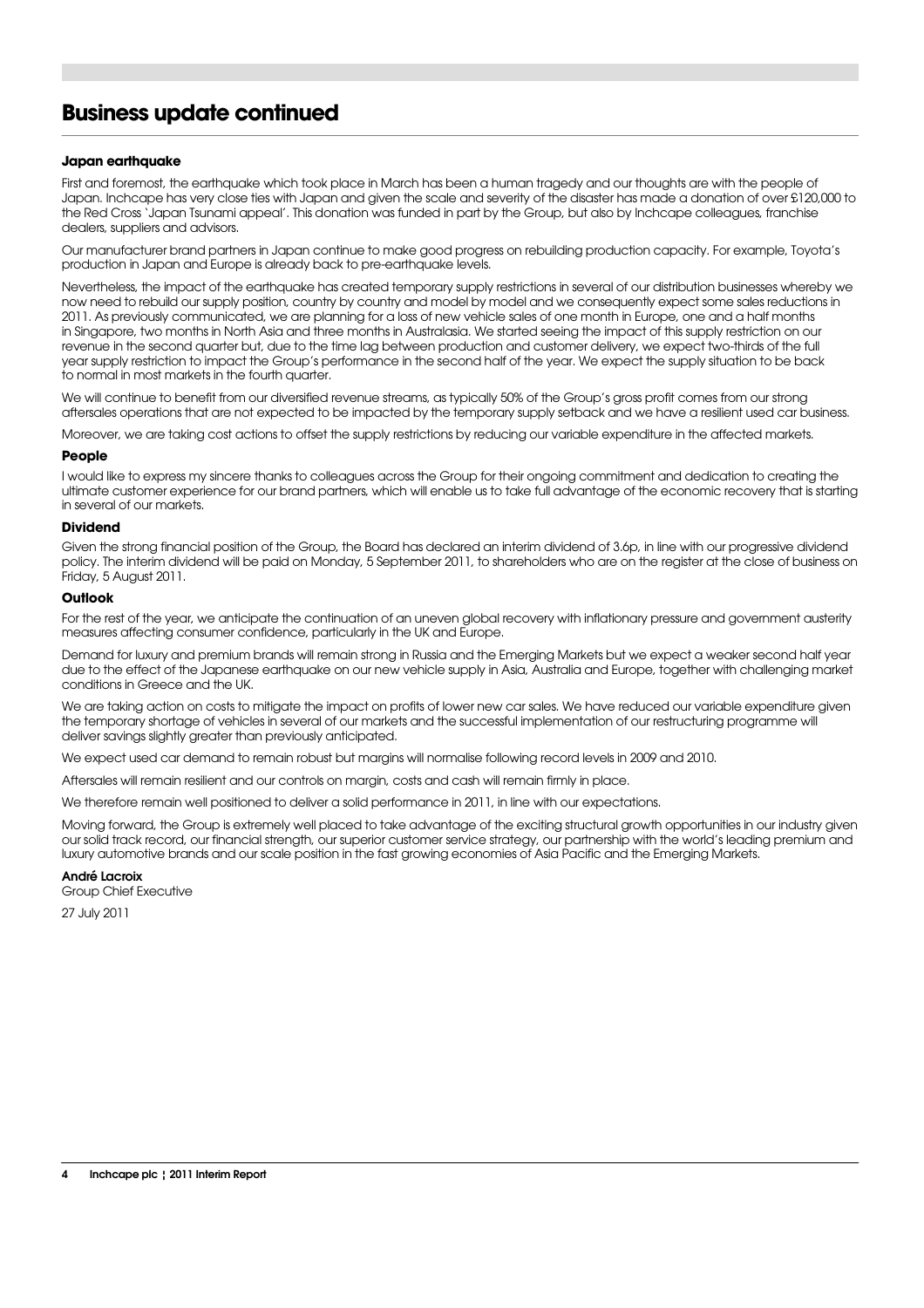## **Business update continued**

#### **Japan earthquake**

First and foremost, the earthquake which took place in March has been a human tragedy and our thoughts are with the people of Japan. Inchcape has very close ties with Japan and given the scale and severity of the disaster has made a donation of over £120,000 to the Red Cross 'Japan Tsunami appeal'. This donation was funded in part by the Group, but also by Inchcape colleagues, franchise dealers, suppliers and advisors.

Our manufacturer brand partners in Japan continue to make good progress on rebuilding production capacity. For example, Toyota's production in Japan and Europe is already back to pre-earthquake levels.

Nevertheless, the impact of the earthquake has created temporary supply restrictions in several of our distribution businesses whereby we now need to rebuild our supply position, country by country and model by model and we consequently expect some sales reductions in 2011. As previously communicated, we are planning for a loss of new vehicle sales of one month in Europe, one and a half months in Singapore, two months in North Asia and three months in Australasia. We started seeing the impact of this supply restriction on our revenue in the second quarter but, due to the time lag between production and customer delivery, we expect two-thirds of the full year supply restriction to impact the Group's performance in the second half of the year. We expect the supply situation to be back to normal in most markets in the fourth quarter.

We will continue to benefit from our diversified revenue streams, as typically 50% of the Group's gross profit comes from our strong aftersales operations that are not expected to be impacted by the temporary supply setback and we have a resilient used car business.

Moreover, we are taking cost actions to offset the supply restrictions by reducing our variable expenditure in the affected markets.

#### **People**

I would like to express my sincere thanks to colleagues across the Group for their ongoing commitment and dedication to creating the ultimate customer experience for our brand partners, which will enable us to take full advantage of the economic recovery that is starting in several of our markets.

#### **Dividend**

Given the strong financial position of the Group, the Board has declared an interim dividend of 3.6p, in line with our progressive dividend policy. The interim dividend will be paid on Monday, 5 September 2011, to shareholders who are on the register at the close of business on Friday, 5 August 2011.

#### **Outlook**

For the rest of the year, we anticipate the continuation of an uneven global recovery with inflationary pressure and government austerity measures affecting consumer confidence, particularly in the UK and Europe.

Demand for luxury and premium brands will remain strong in Russia and the Emerging Markets but we expect a weaker second half year due to the effect of the Japanese earthquake on our new vehicle supply in Asia, Australia and Europe, together with challenging market conditions in Greece and the UK.

We are taking action on costs to mitigate the impact on profits of lower new car sales. We have reduced our variable expenditure given the temporary shortage of vehicles in several of our markets and the successful implementation of our restructuring programme will deliver savings slightly greater than previously anticipated.

We expect used car demand to remain robust but margins will normalise following record levels in 2009 and 2010.

Aftersales will remain resilient and our controls on margin, costs and cash will remain firmly in place.

We therefore remain well positioned to deliver a solid performance in 2011, in line with our expectations.

Moving forward, the Group is extremely well placed to take advantage of the exciting structural growth opportunities in our industry given our solid track record, our financial strength, our superior customer service strategy, our partnership with the world's leading premium and luxury automotive brands and our scale position in the fast growing economies of Asia Pacific and the Emerging Markets.

#### André Lacroix

Group Chief Executive

27 July 2011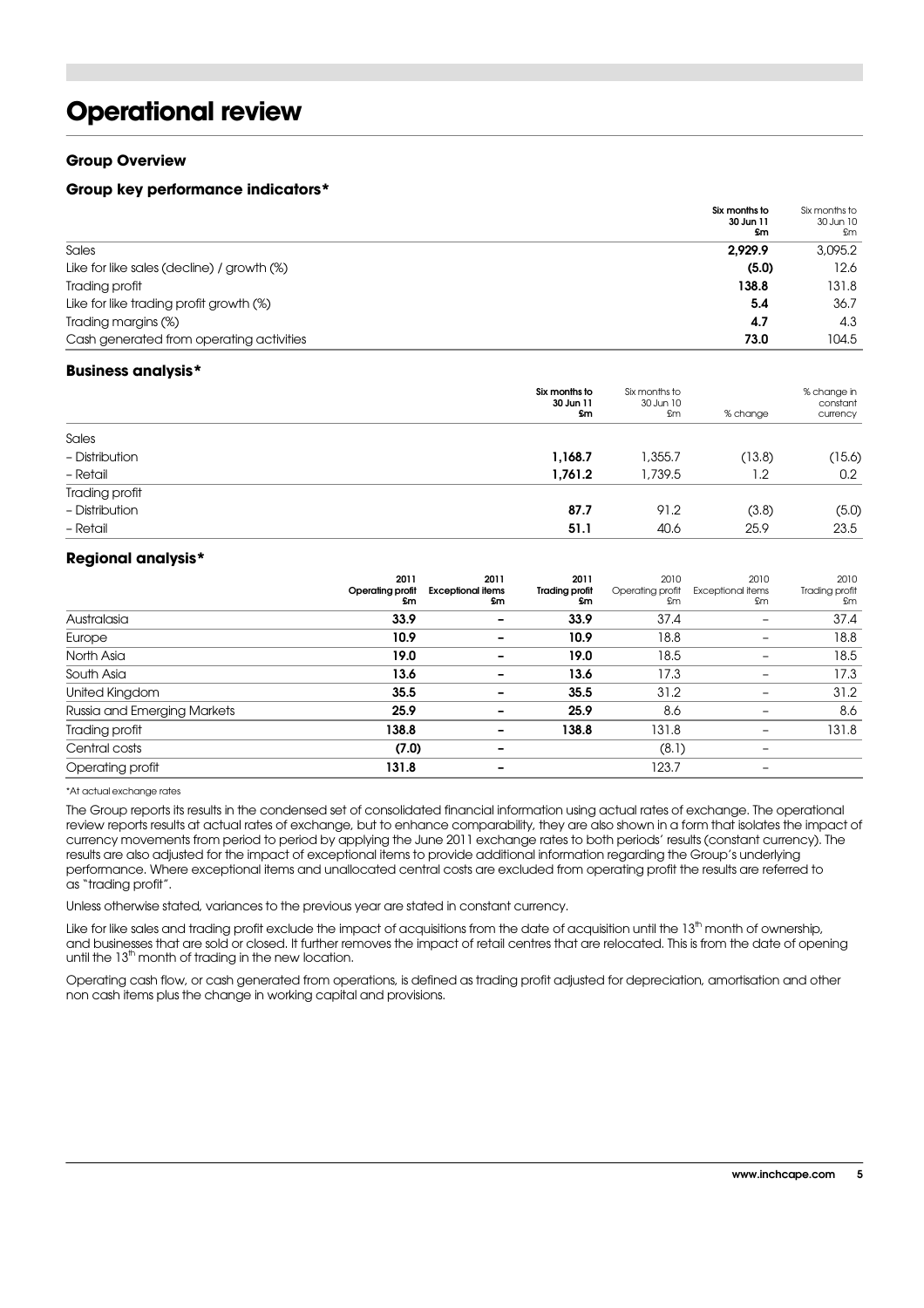## **Operational review**

#### **Group Overview**

#### **Group key performance indicators\***

|                                            | Six months to<br>30 Jun 11<br>£m | Six months to<br>30 Jun 10<br>£m |
|--------------------------------------------|----------------------------------|----------------------------------|
| Sales                                      | 2.929.9                          | 3,095.2                          |
| Like for like sales (decline) / growth (%) | (5.0)                            | 12.6                             |
| Trading profit                             | 138.8                            | 131.8                            |
| Like for like trading profit growth (%)    | 5.4                              | 36.7                             |
| Trading margins (%)                        | 4.7                              | 4.3                              |
| Cash generated from operating activities   | 73.0                             | 104.5                            |

#### **Business analysis\***

|                | Six months to<br>30 Jun 11<br>£m | Six months to<br>30 Jun 10<br>£m | % change | % change in<br>constant<br>currency |
|----------------|----------------------------------|----------------------------------|----------|-------------------------------------|
| Sales          |                                  |                                  |          |                                     |
| - Distribution | 1,168.7                          | ,355.7                           | (13.8)   | (15.6)                              |
| - Retail       | 1,761.2                          | 1,739.5                          | 1.2      | 0.2                                 |
| Trading profit |                                  |                                  |          |                                     |
| - Distribution | 87.7                             | 91.2                             | (3.8)    | (5.0)                               |
| - Retail       | 51.1                             | 40.6                             | 25.9     | 23.5                                |

#### **Regional analysis\***

|                             | 2011<br><b>Operating profit</b><br>£m | 2011<br><b>Exceptional items</b><br>£m | 2011<br><b>Trading profit</b><br>£m | 2010<br>Operating profit<br>£m | 2010<br><b>Exceptional items</b><br>£m | 2010<br>Trading profit<br>£m |
|-----------------------------|---------------------------------------|----------------------------------------|-------------------------------------|--------------------------------|----------------------------------------|------------------------------|
| Australasia                 | 33.9                                  |                                        | 33.9                                | 37.4                           |                                        | 37.4                         |
| Europe                      | 10.9                                  |                                        | 10.9                                | 18.8                           |                                        | 18.8                         |
| North Asia                  | 19.0                                  |                                        | 19.0                                | 18.5                           |                                        | 18.5                         |
| South Asia                  | 13.6                                  |                                        | 13.6                                | 17.3                           |                                        | 17.3                         |
| United Kingdom              | 35.5                                  |                                        | 35.5                                | 31.2                           |                                        | 31.2                         |
| Russia and Emerging Markets | 25.9                                  |                                        | 25.9                                | 8.6                            |                                        | 8.6                          |
| Trading profit              | 138.8                                 |                                        | 138.8                               | 131.8                          | $\overline{\phantom{0}}$               | 131.8                        |
| Central costs               | (7.0)                                 |                                        |                                     | (8.1)                          |                                        |                              |
| Operating profit            | 131.8                                 |                                        |                                     | 123.7                          |                                        |                              |

\*At actual exchange rates

The Group reports its results in the condensed set of consolidated financial information using actual rates of exchange. The operational review reports results at actual rates of exchange, but to enhance comparability, they are also shown in a form that isolates the impact of currency movements from period to period by applying the June 2011 exchange rates to both periods' results (constant currency). The results are also adjusted for the impact of exceptional items to provide additional information regarding the Group's underlying performance. Where exceptional items and unallocated central costs are excluded from operating profit the results are referred to as "trading profit".

Unless otherwise stated, variances to the previous year are stated in constant currency.

Like for like sales and trading profit exclude the impact of acquisitions from the date of acquisition until the 13<sup>th</sup> month of ownership, and businesses that are sold or closed. It further removes the impact of retail centres that are relocated. This is from the date of opening until the 13<sup>th</sup> month of trading in the new location.

Operating cash flow, or cash generated from operations, is defined as trading profit adjusted for depreciation, amortisation and other non cash items plus the change in working capital and provisions.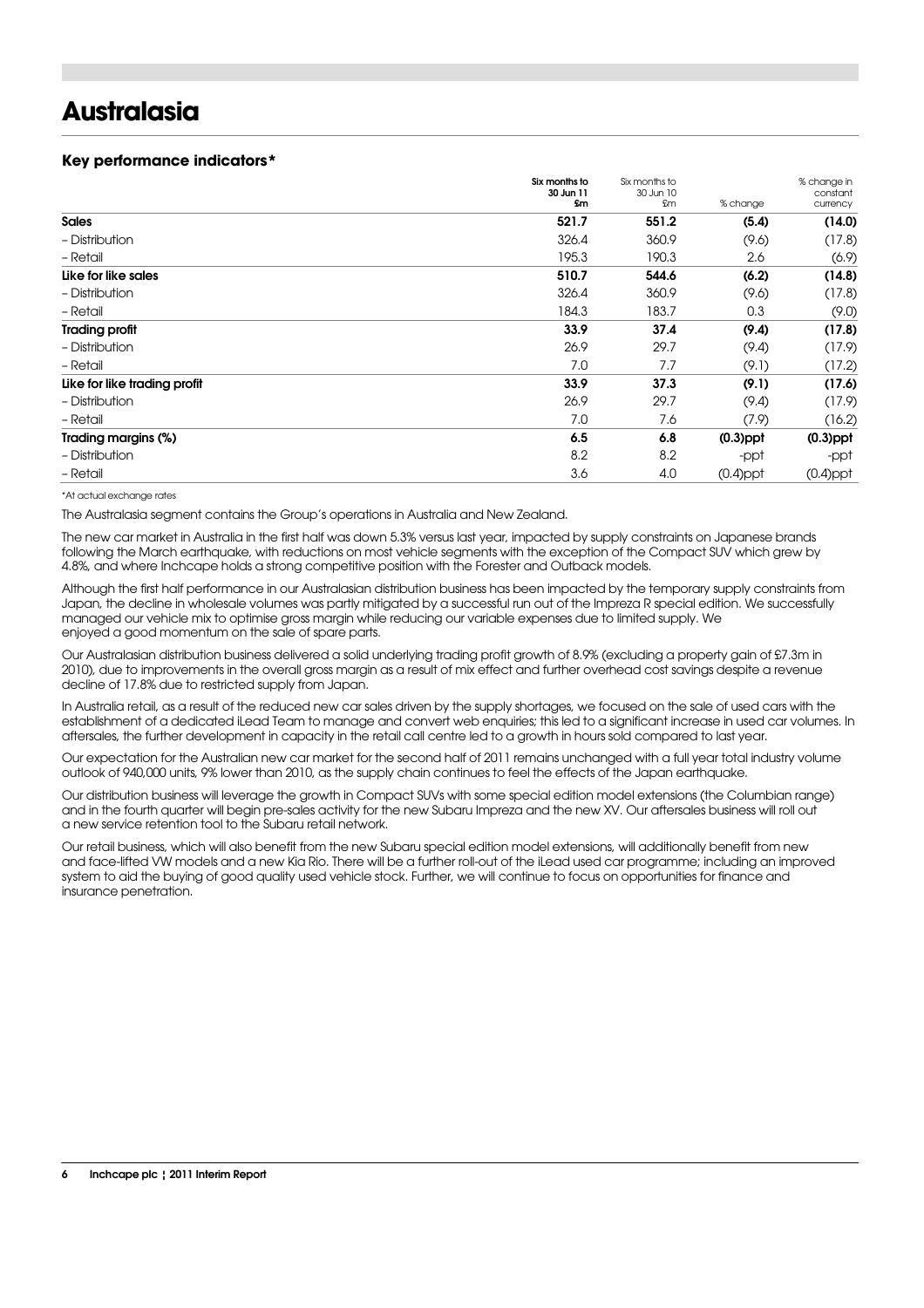## **Australasia**

#### **Key performance indicators\***

|                              | Six months to<br>30 Jun 11 | Six months to<br>30 Jun 10 |             | % change in<br>constant |
|------------------------------|----------------------------|----------------------------|-------------|-------------------------|
|                              | <b>Sm</b>                  | £m                         | % change    | currency                |
| <b>Sales</b>                 | 521.7                      | 551.2                      | (5.4)       | (14.0)                  |
| - Distribution               | 326.4                      | 360.9                      | (9.6)       | (17.8)                  |
| - Retail                     | 195.3                      | 190.3                      | 2.6         | (6.9)                   |
| Like for like sales          | 510.7                      | 544.6                      | (6.2)       | (14.8)                  |
| - Distribution               | 326.4                      | 360.9                      | (9.6)       | (17.8)                  |
| - Retail                     | 184.3                      | 183.7                      | 0.3         | (9.0)                   |
| <b>Trading profit</b>        | 33.9                       | 37.4                       | (9.4)       | (17.8)                  |
| - Distribution               | 26.9                       | 29.7                       | (9.4)       | (17.9)                  |
| - Retail                     | 7.0                        | 7.7                        | (9.1)       | (17.2)                  |
| Like for like trading profit | 33.9                       | 37.3                       | (9.1)       | (17.6)                  |
| - Distribution               | 26.9                       | 29.7                       | (9.4)       | (17.9)                  |
| - Retail                     | 7.0                        | 7.6                        | (7.9)       | (16.2)                  |
| Trading margins (%)          | 6.5                        | 6.8                        | $(0.3)$ ppt | $(0.3)$ ppt             |
| - Distribution               | 8.2                        | 8.2                        | -ppt        | -ppt                    |
| - Retail                     | 3.6                        | 4.0                        | $(0.4)$ ppt | $(0.4)$ ppt             |

\*At actual exchange rates

The Australasia segment contains the Group's operations in Australia and New Zealand.

The new car market in Australia in the first half was down 5.3% versus last year, impacted by supply constraints on Japanese brands following the March earthquake, with reductions on most vehicle segments with the exception of the Compact SUV which grew by 4.8%, and where Inchcape holds a strong competitive position with the Forester and Outback models.

Although the first half performance in our Australasian distribution business has been impacted by the temporary supply constraints from Japan, the decline in wholesale volumes was partly mitigated by a successful run out of the Impreza R special edition. We successfully managed our vehicle mix to optimise gross margin while reducing our variable expenses due to limited supply. We enjoyed a good momentum on the sale of spare parts.

Our Australasian distribution business delivered a solid underlying trading profit growth of 8.9% (excluding a property gain of £7.3m in 2010), due to improvements in the overall gross margin as a result of mix effect and further overhead cost savings despite a revenue decline of 17.8% due to restricted supply from Japan.

In Australia retail, as a result of the reduced new car sales driven by the supply shortages, we focused on the sale of used cars with the establishment of a dedicated iLead Team to manage and convert web enquiries; this led to a significant increase in used car volumes. In aftersales, the further development in capacity in the retail call centre led to a growth in hours sold compared to last year.

Our expectation for the Australian new car market for the second half of 2011 remains unchanged with a full year total industry volume outlook of 940,000 units, 9% lower than 2010, as the supply chain continues to feel the effects of the Japan earthquake.

Our distribution business will leverage the growth in Compact SUVs with some special edition model extensions (the Columbian range) and in the fourth quarter will begin pre-sales activity for the new Subaru Impreza and the new XV. Our aftersales business will roll out a new service retention tool to the Subaru retail network.

Our retail business, which will also benefit from the new Subaru special edition model extensions, will additionally benefit from new and face-lifted VW models and a new Kia Rio. There will be a further roll-out of the iLead used car programme; including an improved system to aid the buying of good quality used vehicle stock. Further, we will continue to focus on opportunities for finance and insurance penetration.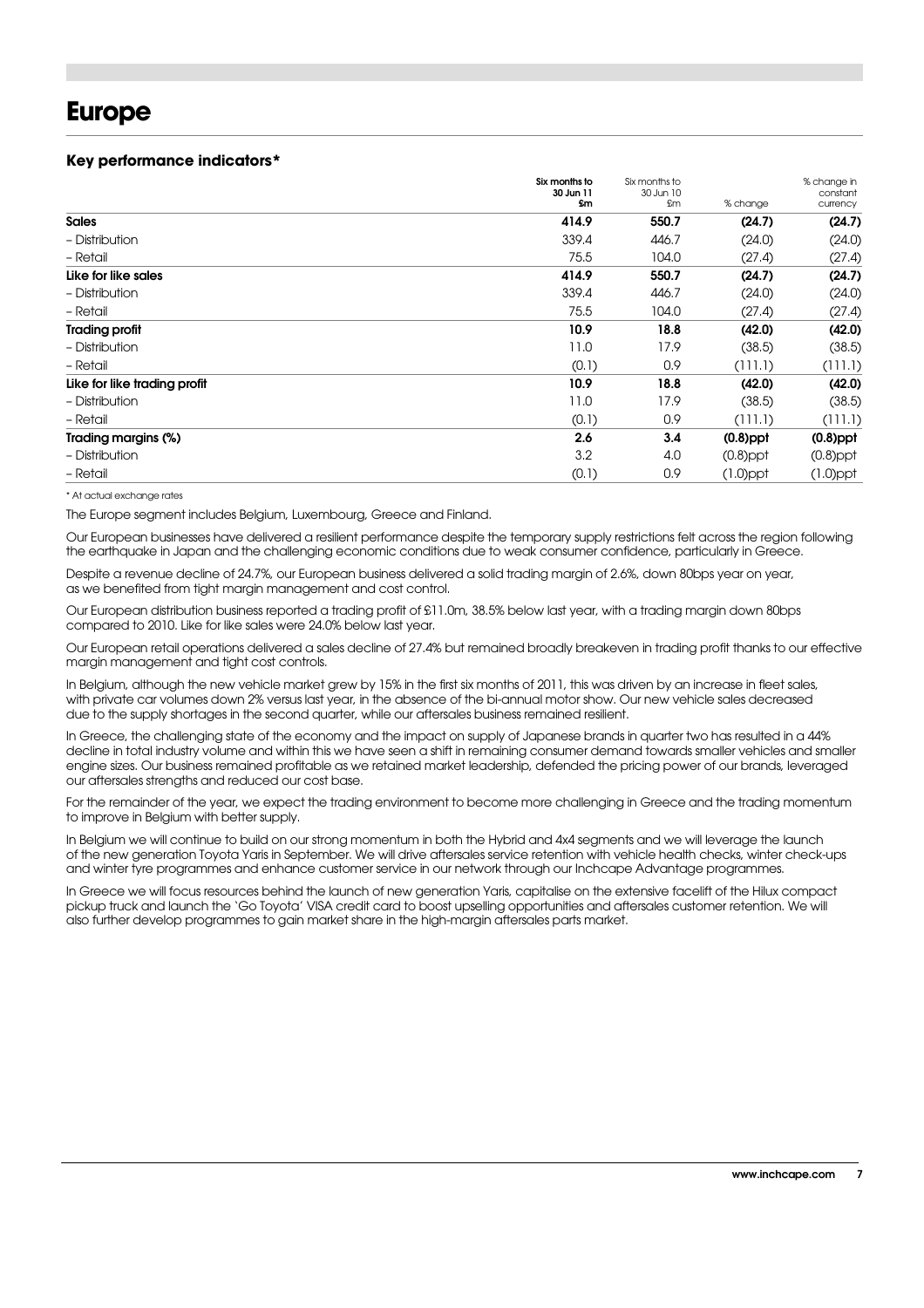## **Europe**

#### **Key performance indicators\***

|                              | Six months to<br>30 Jun 11 | Six months to<br>30 Jun 10 |             | % change in<br>constant |
|------------------------------|----------------------------|----------------------------|-------------|-------------------------|
|                              | £m                         | £m                         | % change    | currency                |
| <b>Sales</b>                 | 414.9                      | 550.7                      | (24.7)      | (24.7)                  |
| - Distribution               | 339.4                      | 446.7                      | (24.0)      | (24.0)                  |
| - Retail                     | 75.5                       | 104.0                      | (27.4)      | (27.4)                  |
| Like for like sales          | 414.9                      | 550.7                      | (24.7)      | (24.7)                  |
| - Distribution               | 339.4                      | 446.7                      | (24.0)      | (24.0)                  |
| - Retail                     | 75.5                       | 104.0                      | (27.4)      | (27.4)                  |
| <b>Trading profit</b>        | 10.9                       | 18.8                       | (42.0)      | (42.0)                  |
| - Distribution               | 11.0                       | 17.9                       | (38.5)      | (38.5)                  |
| - Retail                     | (0.1)                      | 0.9                        | (111.1)     | (111.1)                 |
| Like for like trading profit | 10.9                       | 18.8                       | (42.0)      | (42.0)                  |
| - Distribution               | 11.0                       | 17.9                       | (38.5)      | (38.5)                  |
| - Retail                     | (0.1)                      | 0.9                        | (111.1)     | (111.1)                 |
| Trading margins (%)          | 2.6                        | 3.4                        | $(0.8)$ ppt | $(0.8)$ ppt             |
| - Distribution               | 3.2                        | 4.0                        | $(0.8)$ ppt | $(0.8)$ ppt             |
| - Retail                     | (0.1)                      | 0.9                        | $(1.0)$ ppt | $(1.0)$ ppt             |

\* At actual exchange rates

The Europe segment includes Belgium, Luxembourg, Greece and Finland.

Our European businesses have delivered a resilient performance despite the temporary supply restrictions felt across the region following the earthquake in Japan and the challenging economic conditions due to weak consumer confidence, particularly in Greece.

Despite a revenue decline of 24.7%, our European business delivered a solid trading margin of 2.6%, down 80bps year on year, as we benefited from tight margin management and cost control.

Our European distribution business reported a trading profit of £11.0m, 38.5% below last year, with a trading margin down 80bps compared to 2010. Like for like sales were 24.0% below last year.

Our European retail operations delivered a sales decline of 27.4% but remained broadly breakeven in trading profit thanks to our effective margin management and tight cost controls.

In Belgium, although the new vehicle market grew by 15% in the first six months of 2011, this was driven by an increase in fleet sales, with private car volumes down 2% versus last year, in the absence of the bi-annual motor show. Our new vehicle sales decreased due to the supply shortages in the second quarter, while our aftersales business remained resilient.

In Greece, the challenging state of the economy and the impact on supply of Japanese brands in quarter two has resulted in a 44% decline in total industry volume and within this we have seen a shift in remaining consumer demand towards smaller vehicles and smaller engine sizes. Our business remained profitable as we retained market leadership, defended the pricing power of our brands, leveraged our aftersales strengths and reduced our cost base.

For the remainder of the year, we expect the trading environment to become more challenging in Greece and the trading momentum to improve in Belgium with better supply.

In Belgium we will continue to build on our strong momentum in both the Hybrid and 4x4 segments and we will leverage the launch of the new generation Toyota Yaris in September. We will drive aftersales service retention with vehicle health checks, winter check-ups and winter tyre programmes and enhance customer service in our network through our Inchcape Advantage programmes.

In Greece we will focus resources behind the launch of new generation Yaris, capitalise on the extensive facelift of the Hilux compact pickup truck and launch the 'Go Toyota' VISA credit card to boost upselling opportunities and aftersales customer retention. We will also further develop programmes to gain market share in the high-margin aftersales parts market.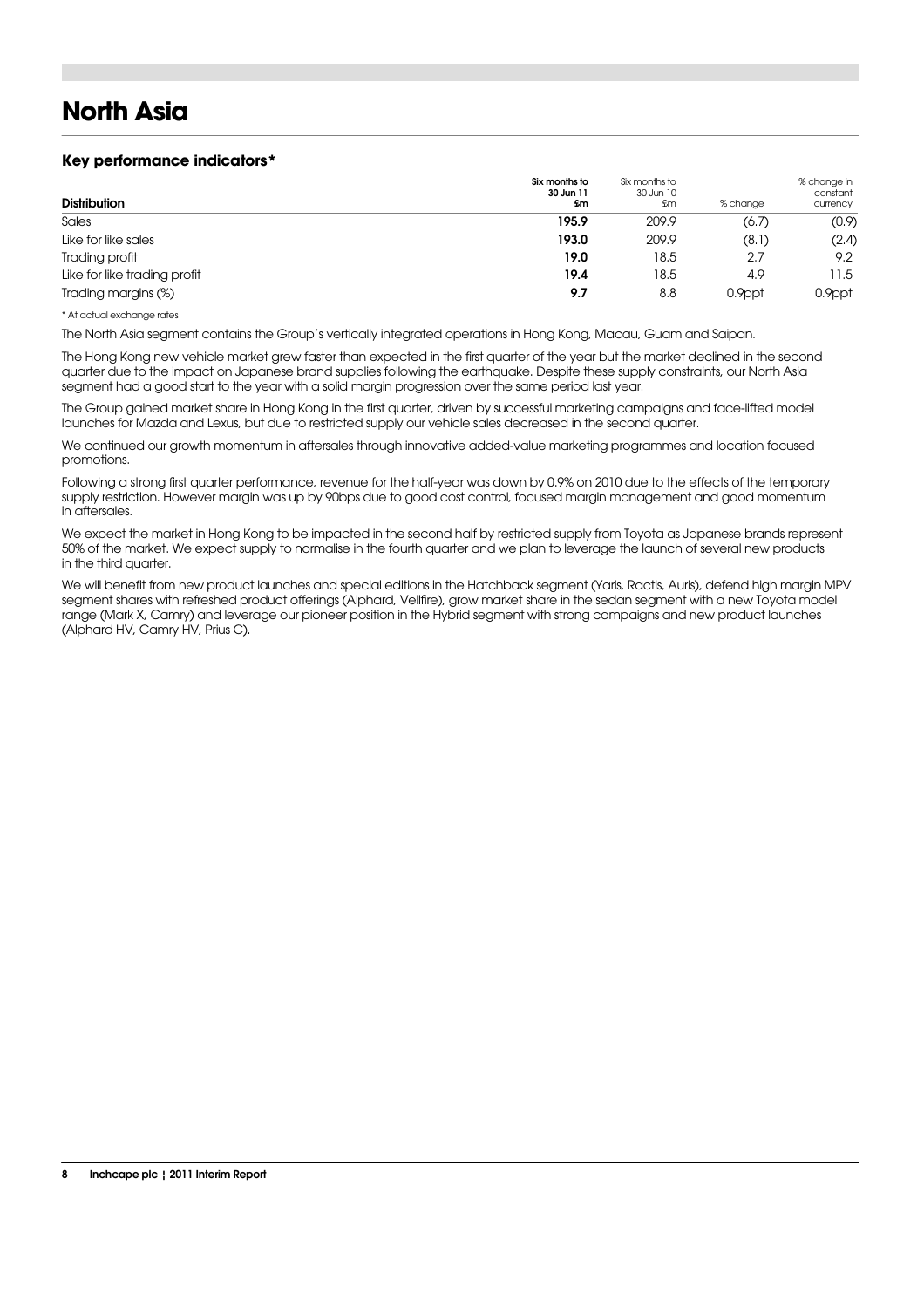# **North Asia**

#### **Key performance indicators\***

| <b>Distribution</b>          | Six months to<br>30 Jun 11<br><b>Sm</b> | Six months to<br>30 Jun 10<br>£m | % change | % change in<br>constant<br>currency |
|------------------------------|-----------------------------------------|----------------------------------|----------|-------------------------------------|
| Sales                        | 195.9                                   | 209.9                            | (6.7)    | (0.9)                               |
| Like for like sales          | 193.0                                   | 209.9                            | (8.1)    | (2.4)                               |
| Trading profit               | 19.0                                    | 18.5                             | 2.7      | 9.2                                 |
| Like for like trading profit | 19.4                                    | 18.5                             | 4.9      | 11.5                                |
| Trading margins (%)          | 9.7                                     | 8.8                              | 0.9ppt   | 0.9ppt                              |

\* At actual exchange rates

The North Asia segment contains the Group's vertically integrated operations in Hong Kong, Macau, Guam and Saipan.

The Hong Kong new vehicle market grew faster than expected in the first quarter of the year but the market declined in the second quarter due to the impact on Japanese brand supplies following the earthquake. Despite these supply constraints, our North Asia segment had a good start to the year with a solid margin progression over the same period last year.

The Group gained market share in Hong Kong in the first quarter, driven by successful marketing campaigns and face-lifted model launches for Mazda and Lexus, but due to restricted supply our vehicle sales decreased in the second quarter.

We continued our growth momentum in aftersales through innovative added-value marketing programmes and location focused promotions.

Following a strong first quarter performance, revenue for the half-year was down by 0.9% on 2010 due to the effects of the temporary supply restriction. However margin was up by 90bps due to good cost control, focused margin management and good momentum in aftersales.

We expect the market in Hong Kong to be impacted in the second half by restricted supply from Toyota as Japanese brands represent 50% of the market. We expect supply to normalise in the fourth quarter and we plan to leverage the launch of several new products in the third quarter.

We will benefit from new product launches and special editions in the Hatchback segment (Yaris, Ractis, Auris), defend high margin MPV segment shares with refreshed product offerings (Alphard, Vellfire), grow market share in the sedan segment with a new Toyota model range (Mark X, Camry) and leverage our pioneer position in the Hybrid segment with strong campaigns and new product launches (Alphard HV, Camry HV, Prius C).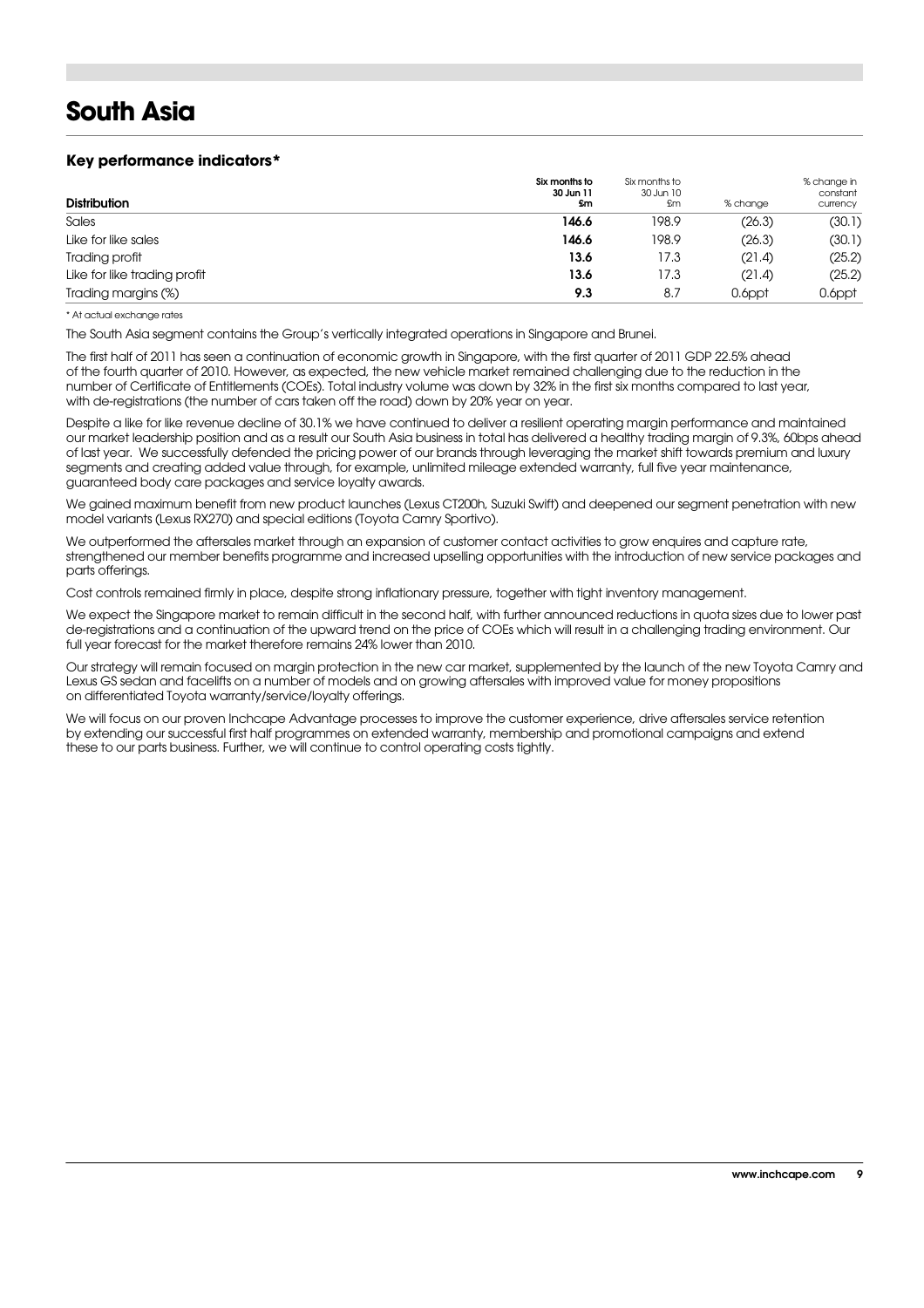## **South Asia**

#### **Key performance indicators\***

| <b>Distribution</b>          | Six months to<br>30 Jun 11<br>\$m | Six months to<br>30 Jun 10<br>£m | % change | % change in<br>constant<br>currency |
|------------------------------|-----------------------------------|----------------------------------|----------|-------------------------------------|
| Sales                        | 146.6                             | 198.9                            | (26.3)   | (30.1)                              |
| Like for like sales          | 146.6                             | 198.9                            | (26.3)   | (30.1)                              |
| Trading profit               | 13.6                              | 17.3                             | (21.4)   | (25.2)                              |
| Like for like trading profit | 13.6                              | 17.3                             | (21.4)   | (25.2)                              |
| Trading margins (%)          | 9.3                               | 8.7                              | 0.6ppt   | 0.6ppt                              |

#### \* At actual exchange rates

The South Asia segment contains the Group's vertically integrated operations in Singapore and Brunei.

The first half of 2011 has seen a continuation of economic growth in Singapore, with the first quarter of 2011 GDP 22.5% ahead of the fourth quarter of 2010. However, as expected, the new vehicle market remained challenging due to the reduction in the number of Certificate of Entitlements (COEs). Total industry volume was down by 32% in the first six months compared to last year, with de-registrations (the number of cars taken off the road) down by 20% year on year.

Despite a like for like revenue decline of 30.1% we have continued to deliver a resilient operating margin performance and maintained our market leadership position and as a result our South Asia business in total has delivered a healthy trading margin of 9.3%, 60bps ahead of last year. We successfully defended the pricing power of our brands through leveraging the market shift towards premium and luxury segments and creating added value through, for example, unlimited mileage extended warranty, full five year maintenance, guaranteed body care packages and service loyalty awards.

We gained maximum benefit from new product launches (Lexus CT200h, Suzuki Swift) and deepened our segment penetration with new model variants (Lexus RX270) and special editions (Toyota Camry Sportivo).

We outperformed the aftersales market through an expansion of customer contact activities to grow enquires and capture rate. strengthened our member benefits programme and increased upselling opportunities with the introduction of new service packages and parts offerings.

Cost controls remained firmly in place, despite strong inflationary pressure, together with tight inventory management.

We expect the Singapore market to remain difficult in the second half, with further announced reductions in quota sizes due to lower past de-registrations and a continuation of the upward trend on the price of COEs which will result in a challenging trading environment. Our full year forecast for the market therefore remains 24% lower than 2010.

Our strategy will remain focused on margin protection in the new car market, supplemented by the launch of the new Toyota Camry and Lexus GS sedan and facelifts on a number of models and on growing aftersales with improved value for money propositions on differentiated Toyota warranty/service/loyalty offerings.

We will focus on our proven Inchcape Advantage processes to improve the customer experience, drive aftersales service retention by extending our successful first half programmes on extended warranty, membership and promotional campaigns and extend these to our parts business. Further, we will continue to control operating costs tightly.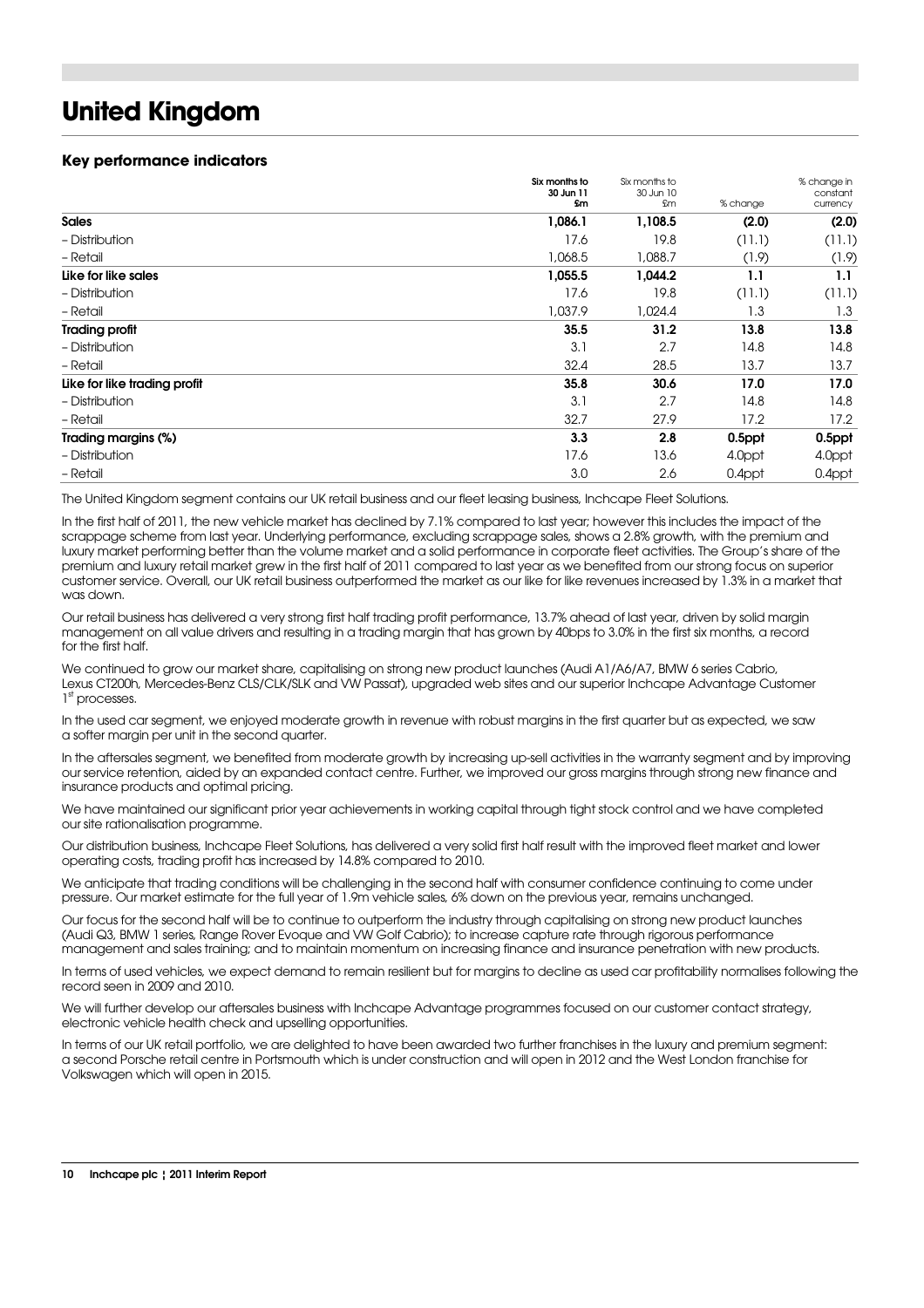## **United Kingdom**

#### **Key performance indicators**

|                              | Six months to<br>30 Jun 11 | Six months to<br>30 Jun 10 |          | % change in<br>constant |
|------------------------------|----------------------------|----------------------------|----------|-------------------------|
|                              | <b>Sm</b>                  | £m                         | % change | currency                |
| <b>Sales</b>                 | 1,086.1                    | 1,108.5                    | (2.0)    | (2.0)                   |
| - Distribution               | 17.6                       | 19.8                       | (11.1)   | (11.1)                  |
| - Retail                     | 1,068.5                    | 1,088.7                    | (1.9)    | (1.9)                   |
| Like for like sales          | 1,055.5                    | 1,044.2                    | 1.1      | 1.1                     |
| - Distribution               | 17.6                       | 19.8                       | (11.1)   | (11.1)                  |
| - Retail                     | 1,037.9                    | 1,024.4                    | 1.3      | 1.3                     |
| <b>Trading profit</b>        | 35.5                       | 31.2                       | 13.8     | 13.8                    |
| - Distribution               | 3.1                        | 2.7                        | 14.8     | 14.8                    |
| - Retail                     | 32.4                       | 28.5                       | 13.7     | 13.7                    |
| Like for like trading profit | 35.8                       | 30.6                       | 17.0     | 17.0                    |
| - Distribution               | 3.1                        | 2.7                        | 14.8     | 14.8                    |
| - Retail                     | 32.7                       | 27.9                       | 17.2     | 17.2                    |
| Trading margins (%)          | 3.3                        | 2.8                        | 0.5ppt   | 0.5ppt                  |
| - Distribution               | 17.6                       | 13.6                       | 4.0ppt   | 4.0ppt                  |
| - Retail                     | 3.0                        | 2.6                        | 0.4ppt   | 0.4ppt                  |

The United Kingdom segment contains our UK retail business and our fleet leasing business, Inchcape Fleet Solutions.

In the first half of 2011, the new vehicle market has declined by 7.1% compared to last year; however this includes the impact of the scrappage scheme from last year. Underlying performance, excluding scrappage sales, shows a 2.8% growth, with the premium and luxury market performing better than the volume market and a solid performance in corporate fleet activities. The Group's share of the premium and luxury retail market grew in the first half of 2011 compared to last year as we benefited from our strong focus on superior customer service. Overall, our UK retail business outperformed the market as our like for like revenues increased by 1.3% in a market that was down.

Our retail business has delivered a very strong first half trading profit performance, 13.7% ahead of last year, driven by solid margin management on all value drivers and resulting in a trading margin that has grown by 40bps to 3.0% in the first six months, a record for the first half.

We continued to grow our market share, capitalising on strong new product launches (Audi A1/A6/A7, BMW 6 series Cabrio, Lexus CT200h, Mercedes-Benz CLS/CLK/SLK and VW Passat), upgraded web sites and our superior Inchcape Advantage Customer 1st processes.

In the used car segment, we enjoyed moderate growth in revenue with robust margins in the first quarter but as expected, we saw a softer margin per unit in the second quarter.

In the aftersales segment, we benefited from moderate growth by increasing up-sell activities in the warranty segment and by improving our service retention, aided by an expanded contact centre. Further, we improved our gross margins through strong new finance and insurance products and optimal pricing.

We have maintained our significant prior year achievements in working capital through tight stock control and we have completed our site rationalisation programme.

Our distribution business, Inchcape Fleet Solutions, has delivered a very solid first half result with the improved fleet market and lower operating costs, trading profit has increased by 14.8% compared to 2010.

We anticipate that trading conditions will be challenging in the second half with consumer confidence continuing to come under pressure. Our market estimate for the full year of 1.9m vehicle sales, 6% down on the previous year, remains unchanged.

Our focus for the second half will be to continue to outperform the industry through capitalising on strong new product launches (Audi Q3, BMW 1 series, Range Rover Evoque and VW Golf Cabrio); to increase capture rate through rigorous performance management and sales training; and to maintain momentum on increasing finance and insurance penetration with new products.

In terms of used vehicles, we expect demand to remain resilient but for margins to decline as used car profitability normalises following the record seen in 2009 and 2010.

We will further develop our aftersales business with Inchcape Advantage programmes focused on our customer contact strategy, electronic vehicle health check and upselling opportunities.

In terms of our UK retail portfolio, we are delighted to have been awarded two further franchises in the luxury and premium segment: a second Porsche retail centre in Portsmouth which is under construction and will open in 2012 and the West London franchise for Volkswagen which will open in 2015.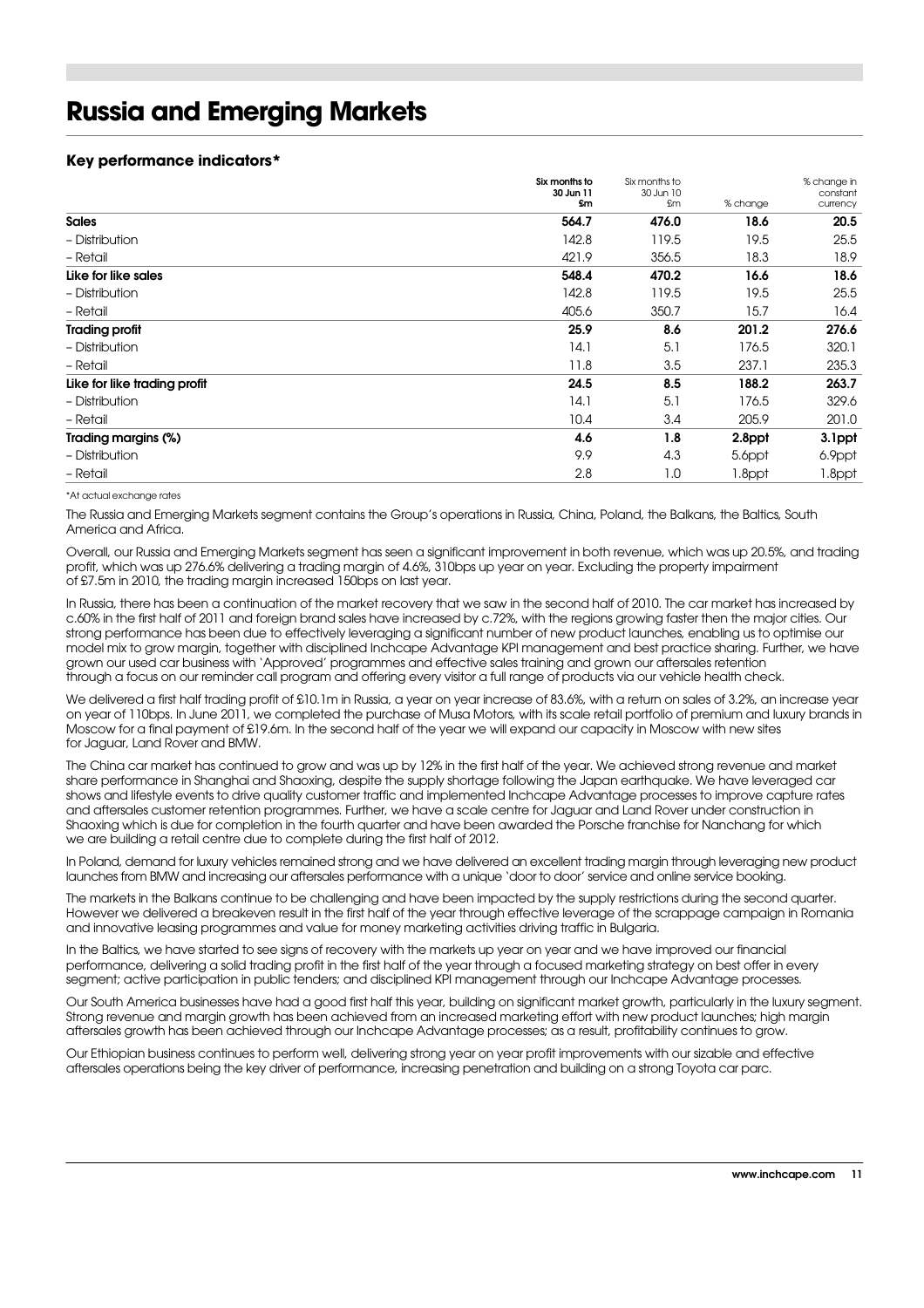## **Russia and Emerging Markets**

#### **Key performance indicators\***

|                              | Six months to<br>30 Jun 11 | Six months to<br>30 Jun 10 |          | % change in<br>constant |
|------------------------------|----------------------------|----------------------------|----------|-------------------------|
|                              | £m                         | £m                         | % change | currency                |
| <b>Sales</b>                 | 564.7                      | 476.0                      | 18.6     | 20.5                    |
| - Distribution               | 142.8                      | 119.5                      | 19.5     | 25.5                    |
| - Retail                     | 421.9                      | 356.5                      | 18.3     | 18.9                    |
| Like for like sales          | 548.4                      | 470.2                      | 16.6     | 18.6                    |
| - Distribution               | 142.8                      | 119.5                      | 19.5     | 25.5                    |
| - Retail                     | 405.6                      | 350.7                      | 15.7     | 16.4                    |
| <b>Trading profit</b>        | 25.9                       | 8.6                        | 201.2    | 276.6                   |
| - Distribution               | 14.1                       | 5.1                        | 176.5    | 320.1                   |
| - Retail                     | 11.8                       | 3.5                        | 237.1    | 235.3                   |
| Like for like trading profit | 24.5                       | 8.5                        | 188.2    | 263.7                   |
| - Distribution               | 14.1                       | 5.1                        | 176.5    | 329.6                   |
| - Retail                     | 10.4                       | 3.4                        | 205.9    | 201.0                   |
| Trading margins (%)          | 4.6                        | 1.8                        | 2.8ppt   | 3.1ppt                  |
| - Distribution               | 9.9                        | 4.3                        | 5.6ppt   | 6.9ppt                  |
| - Retail                     | 2.8                        | 1.0                        | 1.8ppt   | 1.8ppt                  |

#### \*At actual exchange rates

The Russia and Emerging Markets segment contains the Group's operations in Russia, China, Poland, the Balkans, the Baltics, South America and Africa.

Overall, our Russia and Emerging Markets segment has seen a significant improvement in both revenue, which was up 20.5%, and trading profit, which was up 276.6% delivering a trading margin of 4.6%, 310bps up year on year. Excluding the property impairment of £7.5m in 2010, the trading margin increased 150bps on last year.

In Russia, there has been a continuation of the market recovery that we saw in the second half of 2010. The car market has increased by c.60% in the first half of 2011 and foreign brand sales have increased by c.72%, with the regions growing faster then the major cities. Our strong performance has been due to effectively leveraging a significant number of new product launches, enabling us to optimise our model mix to grow margin, together with disciplined Inchcape Advantage KPI management and best practice sharing. Further, we have grown our used car business with 'Approved' programmes and effective sales training and grown our aftersales retention through a focus on our reminder call program and offering every visitor a full range of products via our vehicle health check.

We delivered a first half trading profit of £10.1m in Russia, a year on year increase of 83.6%, with a return on sales of 3.2%, an increase year on year of 110bps. In June 2011, we completed the purchase of Musa Motors, with its scale retail portfolio of premium and luxury brands in Moscow for a final payment of £19.6m. In the second half of the year we will expand our capacity in Moscow with new sites for Jaguar, Land Rover and BMW.

The China car market has continued to grow and was up by 12% in the first half of the year. We achieved strong revenue and market share performance in Shanghai and Shaoxing, despite the supply shortage following the Japan earthquake. We have leveraged car shows and lifestyle events to drive quality customer traffic and implemented Inchcape Advantage processes to improve capture rates and aftersales customer retention programmes. Further, we have a scale centre for Jaguar and Land Rover under construction in Shaoxing which is due for completion in the fourth quarter and have been awarded the Porsche franchise for Nanchang for which we are building a retail centre due to complete during the first half of 2012.

In Poland, demand for luxury vehicles remained strong and we have delivered an excellent trading margin through leveraging new product launches from BMW and increasing our aftersales performance with a unique 'door to door' service and online service booking.

The markets in the Balkans continue to be challenging and have been impacted by the supply restrictions during the second quarter. However we delivered a breakeven result in the first half of the year through effective leverage of the scrappage campaign in Romania and innovative leasing programmes and value for money marketing activities driving traffic in Bulgaria.

In the Baltics, we have started to see signs of recovery with the markets up year on year and we have improved our financial performance, delivering a solid trading profit in the first half of the year through a focused marketing strategy on best offer in every segment; active participation in public tenders; and disciplined KPI management through our Inchcape Advantage processes.

Our South America businesses have had a good first half this year, building on significant market growth, particularly in the luxury segment. Strong revenue and margin growth has been achieved from an increased marketing effort with new product launches; high margin aftersales growth has been achieved through our Inchcape Advantage processes; as a result, profitability continues to grow.

Our Ethiopian business continues to perform well, delivering strong year on year profit improvements with our sizable and effective aftersales operations being the key driver of performance, increasing penetration and building on a strong Toyota car parc.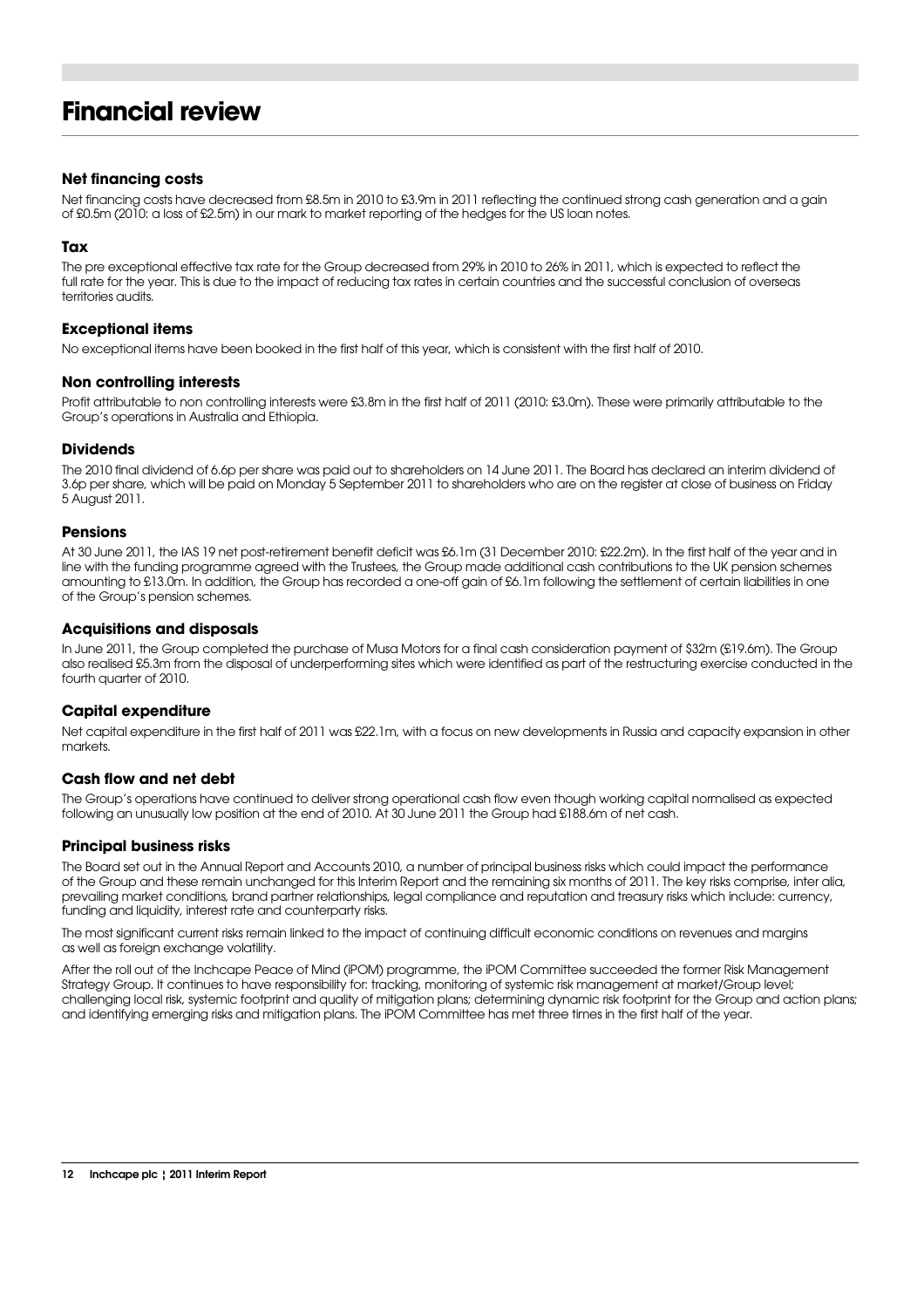## **Financial review**

#### **Net financing costs**

Net financing costs have decreased from £8.5m in 2010 to £3.9m in 2011 reflecting the continued strong cash generation and a gain of £0.5m (2010: a loss of £2.5m) in our mark to market reporting of the hedges for the US loan notes.

#### **Tax**

The pre exceptional effective tax rate for the Group decreased from 29% in 2010 to 26% in 2011, which is expected to reflect the full rate for the year. This is due to the impact of reducing tax rates in certain countries and the successful conclusion of overseas territories audits.

#### **Exceptional items**

No exceptional items have been booked in the first half of this year, which is consistent with the first half of 2010.

#### **Non controlling interests**

Profit attributable to non controlling interests were £3.8m in the first half of 2011 (2010: £3.0m). These were primarily attributable to the Group's operations in Australia and Ethiopia.

#### **Dividends**

The 2010 final dividend of 6.6p per share was paid out to shareholders on 14 June 2011. The Board has declared an interim dividend of 3.6p per share, which will be paid on Monday 5 September 2011 to shareholders who are on the register at close of business on Friday 5 August 2011.

#### **Pensions**

At 30 June 2011, the IAS 19 net post-retirement benefit deficit was £6.1m (31 December 2010: £22.2m). In the first half of the year and in line with the funding programme agreed with the Trustees, the Group made additional cash contributions to the UK pension schemes amounting to £13.0m. In addition, the Group has recorded a one-off gain of £6.1m following the settlement of certain liabilities in one of the Group's pension schemes.

#### **Acquisitions and disposals**

In June 2011, the Group completed the purchase of Musa Motors for a final cash consideration payment of \$32m (£19.6m). The Group also realised £5.3m from the disposal of underperforming sites which were identified as part of the restructuring exercise conducted in the fourth quarter of 2010.

#### **Capital expenditure**

Net capital expenditure in the first half of 2011 was £22.1m, with a focus on new developments in Russia and capacity expansion in other markets.

#### **Cash flow and net debt**

The Group's operations have continued to deliver strong operational cash flow even though working capital normalised as expected following an unusually low position at the end of 2010. At 30 June 2011 the Group had £188.6m of net cash.

#### **Principal business risks**

The Board set out in the Annual Report and Accounts 2010, a number of principal business risks which could impact the performance of the Group and these remain unchanged for this Interim Report and the remaining six months of 2011. The key risks comprise, inter alia, prevailing market conditions, brand partner relationships, legal compliance and reputation and treasury risks which include: currency, funding and liquidity, interest rate and counterparty risks.

The most significant current risks remain linked to the impact of continuing difficult economic conditions on revenues and margins as well as foreign exchange volatility.

After the roll out of the Inchcape Peace of Mind (iPOM) programme, the iPOM Committee succeeded the former Risk Management Strategy Group. It continues to have responsibility for: tracking, monitoring of systemic risk management at market/Group level; challenging local risk, systemic footprint and quality of mitigation plans; determining dynamic risk footprint for the Group and action plans; and identifying emerging risks and mitigation plans. The iPOM Committee has met three times in the first half of the year.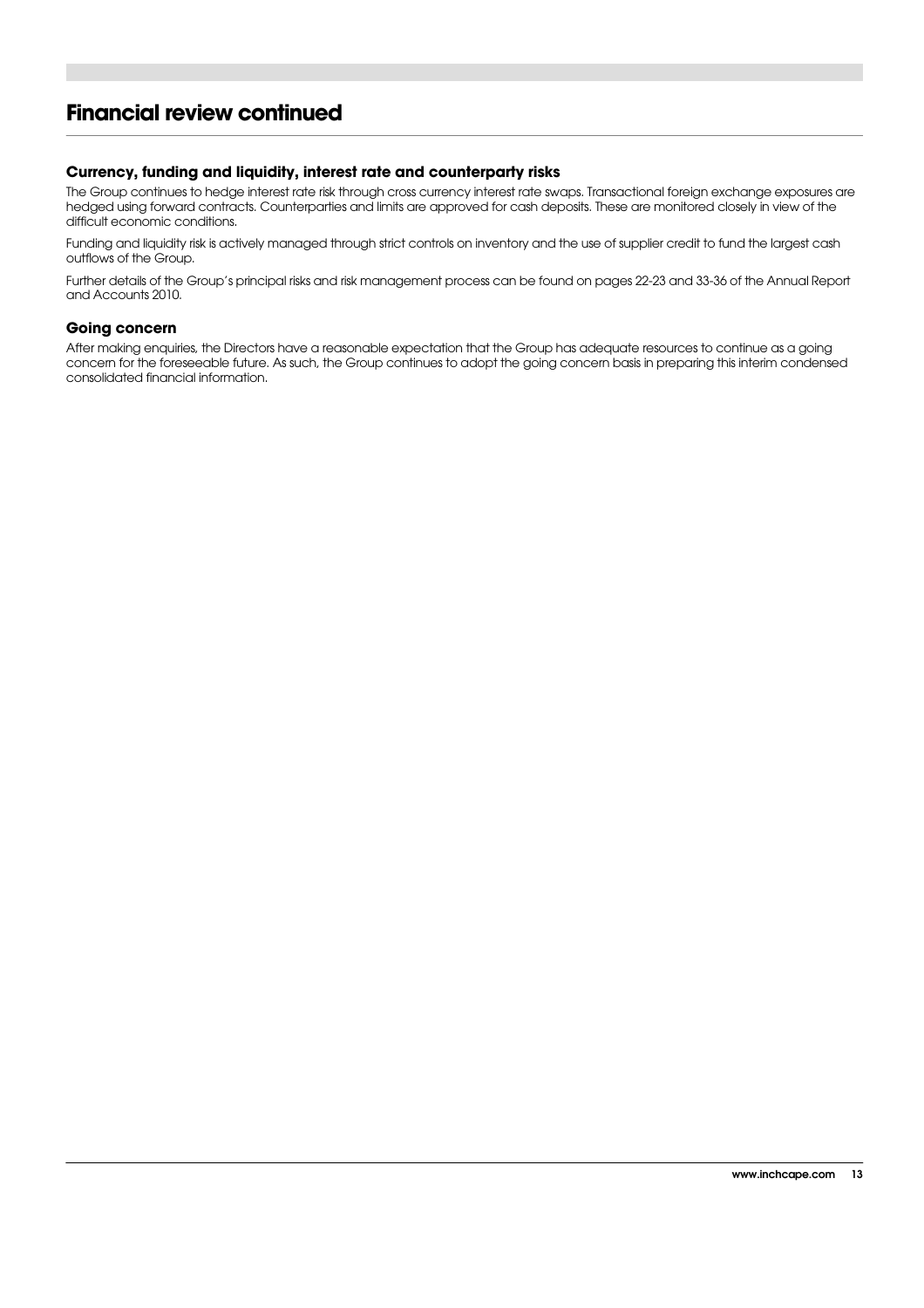### **Financial review continued**

#### **Currency, funding and liquidity, interest rate and counterparty risks**

The Group continues to hedge interest rate risk through cross currency interest rate swaps. Transactional foreign exchange exposures are hedged using forward contracts. Counterparties and limits are approved for cash deposits. These are monitored closely in view of the difficult economic conditions.

Funding and liquidity risk is actively managed through strict controls on inventory and the use of supplier credit to fund the largest cash outflows of the Group.

Further details of the Group's principal risks and risk management process can be found on pages 22-23 and 33-36 of the Annual Report and Accounts 2010.

#### **Going concern**

After making enquiries, the Directors have a reasonable expectation that the Group has adequate resources to continue as a going concern for the foreseeable future. As such, the Group continues to adopt the going concern basis in preparing this interim condensed consolidated financial information.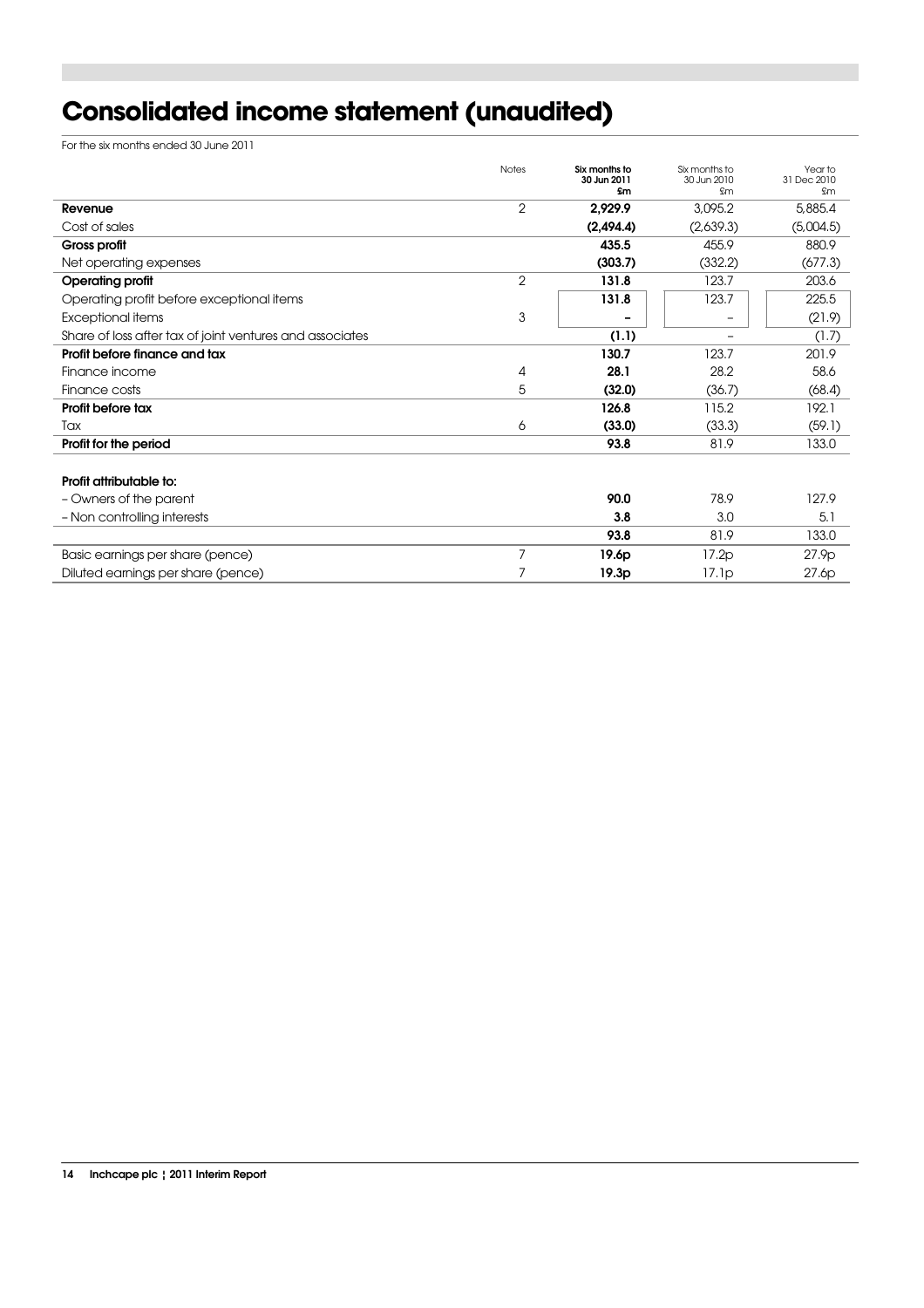# **Consolidated income statement (unaudited)**

For the six months ended 30 June 2011

|                                                                   | 5,885.4   |
|-------------------------------------------------------------------|-----------|
| 2<br>2,929.9<br>3,095.2<br>Revenue                                |           |
| (2,494.4)<br>Cost of sales<br>(2,639.3)                           | (5,004.5) |
| 435.5<br>455.9<br>Gross profit                                    | 880.9     |
| (303.7)<br>(332.2)<br>Net operating expenses                      | (677.3)   |
| 2<br>131.8<br>123.7<br><b>Operating profit</b>                    | 203.6     |
| 131.8<br>123.7<br>Operating profit before exceptional items       | 225.5     |
| 3<br>Exceptional items                                            | (21.9)    |
| (1.1)<br>Share of loss after tax of joint ventures and associates | (1.7)     |
| 123.7<br>130.7<br>Profit before finance and tax                   | 201.9     |
| 28.1<br>28.2<br>Finance income<br>4                               | 58.6      |
| 5<br>(32.0)<br>(36.7)<br>Finance costs                            | (68.4)    |
| 115.2<br>Profit before tax<br>126.8                               | 192.1     |
| (33.0)<br>Tax<br>6<br>(33.3)                                      | (59.1)    |
| 93.8<br>81.9<br>Profit for the period                             | 133.0     |
| Profit attributable to:                                           |           |
| 90.0<br>78.9<br>- Owners of the parent                            | 127.9     |
| - Non controlling interests<br>3.8<br>3.0                         | 5.1       |
| 93.8<br>81.9                                                      | 133.0     |
| 7<br>Basic earnings per share (pence)<br>19.6p<br>17.2p           | 27.9p     |
| Diluted earnings per share (pence)<br>19.3p<br>17.1p              | 27.6p     |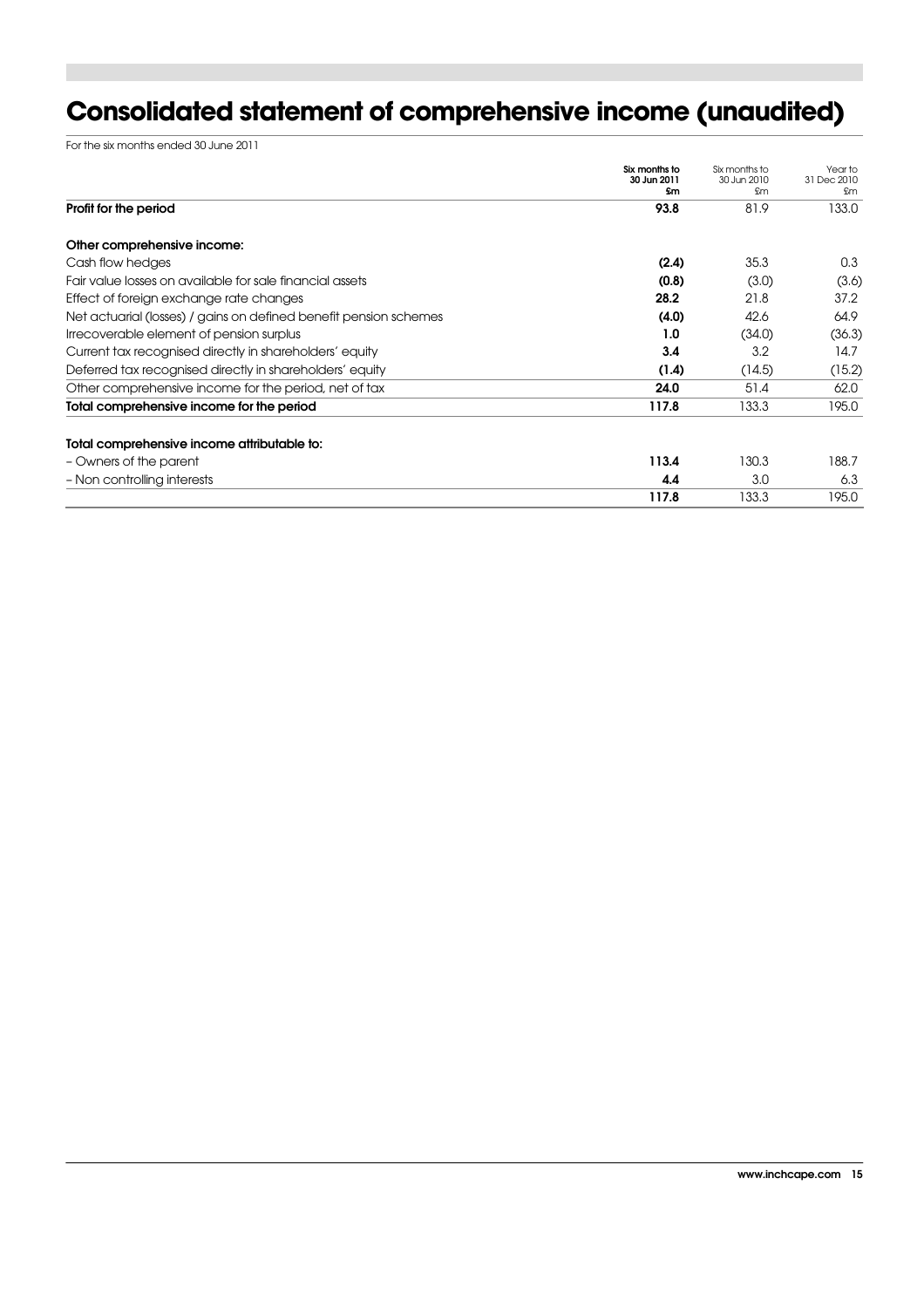# **Consolidated statement of comprehensive income (unaudited)**

For the six months ended 30 June 2011

|                                                                   | Six months to<br>30 Jun 2011 | Six months to<br>30 Jun 2010 | Year to<br>31 Dec 2010 |
|-------------------------------------------------------------------|------------------------------|------------------------------|------------------------|
| Profit for the period                                             | \$m<br>93.8                  | £m<br>81.9                   | £m<br>133.0            |
|                                                                   |                              |                              |                        |
| Other comprehensive income:                                       |                              |                              |                        |
| Cash flow hedges                                                  | (2.4)                        | 35.3                         | 0.3                    |
| Fair value losses on available for sale financial assets          | (0.8)                        | (3.0)                        | (3.6)                  |
| Effect of foreign exchange rate changes                           | 28.2                         | 21.8                         | 37.2                   |
| Net actuarial (losses) / gains on defined benefit pension schemes | (4.0)                        | 42.6                         | 64.9                   |
| Irrecoverable element of pension surplus                          | 1.0                          | (34.0)                       | (36.3)                 |
| Current tax recognised directly in shareholders' equity           | 3.4                          | 3.2                          | 14.7                   |
| Deferred tax recognised directly in shareholders' equity          | (1.4)                        | (14.5)                       | (15.2)                 |
| Other comprehensive income for the period, net of tax             | 24.0                         | 51.4                         | 62.0                   |
| Total comprehensive income for the period                         | 117.8                        | 133.3                        | 195.0                  |
| Total comprehensive income attributable to:                       |                              |                              |                        |
| - Owners of the parent                                            | 113.4                        | 130.3                        | 188.7                  |
| - Non controlling interests                                       | 4.4                          | 3.0                          | 6.3                    |
|                                                                   | 117.8                        | 133.3                        | 195.0                  |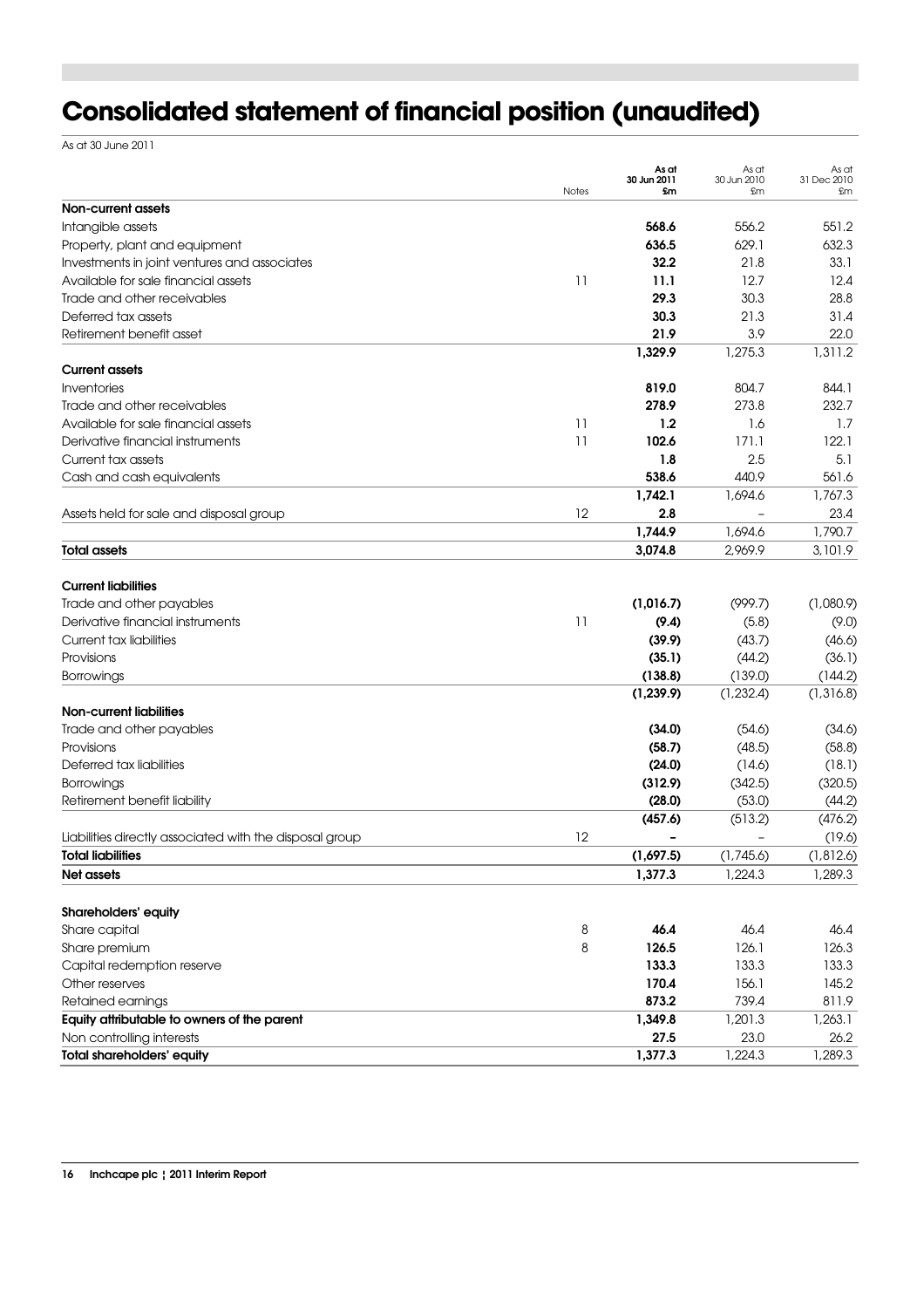# **Consolidated statement of financial position (unaudited)**

As at 30 June 2011

|                                                         | Notes | As at<br>30 Jun 2011<br>£m | As at<br>30 Jun 2010<br>£m | As at<br>31 Dec 2010<br>£m |
|---------------------------------------------------------|-------|----------------------------|----------------------------|----------------------------|
| Non-current assets                                      |       |                            |                            |                            |
| Intangible assets                                       |       | 568.6                      | 556.2                      | 551.2                      |
| Property, plant and equipment                           |       | 636.5                      | 629.1                      | 632.3                      |
| Investments in joint ventures and associates            |       | 32.2                       | 21.8                       | 33.1                       |
| Available for sale financial assets                     | 11    | 11.1                       | 12.7                       | 12.4                       |
| Trade and other receivables                             |       | 29.3                       | 30.3                       | 28.8                       |
| Deferred tax assets                                     |       | 30.3                       | 21.3                       | 31.4                       |
| Retirement benefit asset                                |       | 21.9                       | 3.9                        | 22.0                       |
|                                                         |       | 1,329.9                    | 1,275.3                    | 1,311.2                    |
| <b>Current assets</b>                                   |       |                            |                            |                            |
| Inventories                                             |       | 819.0                      | 804.7                      | 844.1                      |
| Trade and other receivables                             |       | 278.9                      | 273.8                      | 232.7                      |
| Available for sale financial assets                     | 11    | 1.2                        | 1.6                        | 1.7                        |
| Derivative financial instruments                        | 11    | 102.6                      | 171.1                      | 122.1                      |
| Current tax assets                                      |       | 1.8                        | 2.5                        | 5.1                        |
| Cash and cash equivalents                               |       | 538.6                      | 440.9                      | 561.6                      |
|                                                         |       | 1,742.1                    | 1,694.6                    | 1,767.3                    |
| Assets held for sale and disposal group                 | 12    | 2.8                        |                            | 23.4                       |
|                                                         |       | 1,744.9                    | 1,694.6                    | 1,790.7                    |
| <b>Total assets</b>                                     |       | 3,074.8                    | 2,969.9                    | 3,101.9                    |
| <b>Current liabilities</b>                              |       |                            |                            |                            |
| Trade and other payables                                |       | (1,016.7)                  | (999.7)                    | (1,080.9)                  |
| Derivative financial instruments                        | 11    | (9.4)                      | (5.8)                      | (9.0)                      |
| <b>Current tax liabilities</b>                          |       | (39.9)                     | (43.7)                     | (46.6)                     |
| Provisions                                              |       | (35.1)                     | (44.2)                     | (36.1)                     |
| Borrowings                                              |       | (138.8)                    | (139.0)                    | (144.2)                    |
|                                                         |       | (1, 239.9)                 | (1, 232.4)                 | (1,316.8)                  |
| <b>Non-current liabilities</b>                          |       |                            |                            |                            |
| Trade and other payables                                |       | (34.0)                     | (54.6)                     | (34.6)                     |
| Provisions                                              |       | (58.7)                     | (48.5)                     | (58.8)                     |
| Deferred tax liabilities                                |       | (24.0)                     | (14.6)                     | (18.1)                     |
| Borrowings                                              |       | (312.9)                    | (342.5)                    | (320.5)                    |
| Retirement benefit liability                            |       | (28.0)                     | (53.0)                     | (44.2)                     |
|                                                         |       | (457.6)                    | (513.2)                    | (476.2)                    |
| Liabilities directly associated with the disposal group | 12    |                            |                            | (19.6)                     |
| <b>Total liabilities</b>                                |       | (1,697.5)                  | (1,745.6)                  | (1, 812.6)                 |
| <b>Net assets</b>                                       |       | 1,377.3                    | 1,224.3                    | 1,289.3                    |
| Shareholders' equity                                    |       |                            |                            |                            |
| Share capital                                           | 8     | 46.4                       | 46.4                       | 46.4                       |
| Share premium                                           | 8     | 126.5                      | 126.1                      | 126.3                      |
| Capital redemption reserve                              |       | 133.3                      | 133.3                      | 133.3                      |
| Other reserves                                          |       | 170.4                      | 156.1                      | 145.2                      |
| Retained earnings                                       |       | 873.2                      | 739.4                      | 811.9                      |
| Equity attributable to owners of the parent             |       | 1,349.8                    | 1,201.3                    | 1,263.1                    |
| Non controlling interests                               |       | 27.5                       | 23.0                       | 26.2                       |
| <b>Total shareholders' equity</b>                       |       | 1,377.3                    | 1,224.3                    | 1,289.3                    |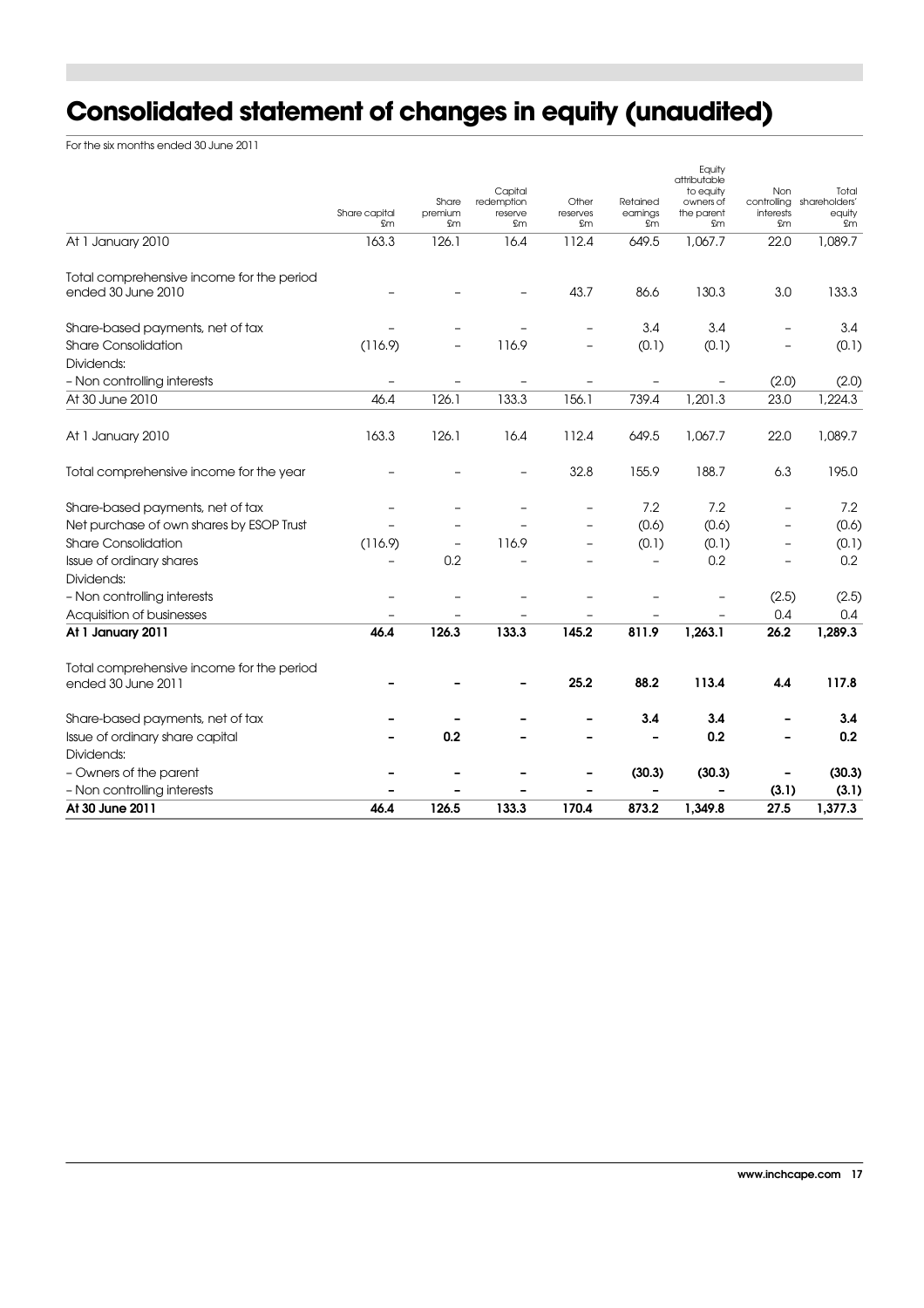# **Consolidated statement of changes in equity (unaudited)**

For the six months ended 30 June 2011

| At 30 June 2011                                                 | 46.4                | 126.5                  | 133.3                                  | 170.4                                                | 873.2                      | 1,349.8                                                              | 27.5                   | 1,377.3                                            |
|-----------------------------------------------------------------|---------------------|------------------------|----------------------------------------|------------------------------------------------------|----------------------------|----------------------------------------------------------------------|------------------------|----------------------------------------------------|
| - Non controlling interests                                     |                     |                        |                                        |                                                      |                            |                                                                      | (3.1)                  | (3.1)                                              |
| - Owners of the parent                                          |                     |                        |                                        |                                                      | (30.3)                     | (30.3)                                                               |                        | (30.3)                                             |
| Dividends:                                                      |                     |                        |                                        |                                                      |                            |                                                                      |                        |                                                    |
| Issue of ordinary share capital                                 |                     | 0.2                    |                                        |                                                      |                            | 0.2                                                                  |                        | 0.2                                                |
| Share-based payments, net of tax                                |                     |                        |                                        |                                                      | 3.4                        | 3.4                                                                  |                        | 3.4                                                |
| Total comprehensive income for the period<br>ended 30 June 2011 |                     |                        |                                        | 25.2                                                 | 88.2                       | 113.4                                                                | 4.4                    | 117.8                                              |
| At 1 January 2011                                               | 46.4                | 126.3                  | 133.3                                  | 145.2                                                | 811.9                      | 1,263.1                                                              | 26.2                   | 1,289.3                                            |
| Acquisition of businesses                                       |                     |                        |                                        |                                                      |                            |                                                                      | 0.4                    | 0.4                                                |
| - Non controlling interests                                     |                     |                        |                                        |                                                      |                            |                                                                      | (2.5)                  | (2.5)                                              |
| Dividends:                                                      |                     |                        |                                        |                                                      |                            |                                                                      |                        |                                                    |
| Issue of ordinary shares                                        |                     | 0.2                    |                                        |                                                      | $\overline{\phantom{0}}$   | 0.2                                                                  |                        | 0.2                                                |
| <b>Share Consolidation</b>                                      | (116.9)             |                        | 116.9                                  | $\overline{\phantom{0}}$                             | (0.1)                      | (0.1)                                                                |                        | (0.1)                                              |
| Net purchase of own shares by ESOP Trust                        |                     |                        |                                        | $\overline{\phantom{0}}$                             | (0.6)                      | (0.6)                                                                |                        | (0.6)                                              |
| Share-based payments, net of tax                                |                     |                        |                                        | $\overline{\phantom{m}}$                             | 7.2                        | 7.2                                                                  |                        | 7.2                                                |
| Total comprehensive income for the year                         |                     |                        |                                        | 32.8                                                 | 155.9                      | 188.7                                                                | 6.3                    | 195.0                                              |
| At 1 January 2010                                               | 163.3               | 126.1                  | 16.4                                   | 112.4                                                | 649.5                      | 1,067.7                                                              | 22.0                   | 1,089.7                                            |
| At 30 June 2010                                                 | 46.4                | 126.1                  | 133.3                                  | 156.1                                                | 739.4                      | 1,201.3                                                              | 23.0                   | 1,224.3                                            |
| - Non controlling interests                                     |                     |                        |                                        |                                                      |                            |                                                                      | (2.0)                  | (2.0)                                              |
| Dividends:                                                      |                     |                        |                                        |                                                      |                            |                                                                      |                        |                                                    |
| Share-based payments, net of tax<br><b>Share Consolidation</b>  | (116.9)             |                        | 116.9                                  | $\overline{\phantom{a}}$<br>$\overline{\phantom{a}}$ | 3.4<br>(0.1)               | 3.4<br>(0.1)                                                         |                        | 3.4<br>(0.1)                                       |
| Total comprehensive income for the period<br>ended 30 June 2010 |                     |                        |                                        | 43.7                                                 | 86.6                       | 130.3                                                                | 3.0                    | 133.3                                              |
| At 1 January 2010                                               | 163.3               | 126.1                  | 16.4                                   | 112.4                                                | 649.5                      | 1,067.7                                                              | 22.0                   | 1,089.7                                            |
|                                                                 | Share capital<br>£m | Share<br>premium<br>£m | Capital<br>redemption<br>reserve<br>£m | Other<br>reserves<br>£m                              | Retained<br>earnings<br>£m | Equity<br>attributable<br>to equity<br>owners of<br>the parent<br>£m | Non<br>interests<br>£m | Total<br>controlling shareholders'<br>equity<br>£m |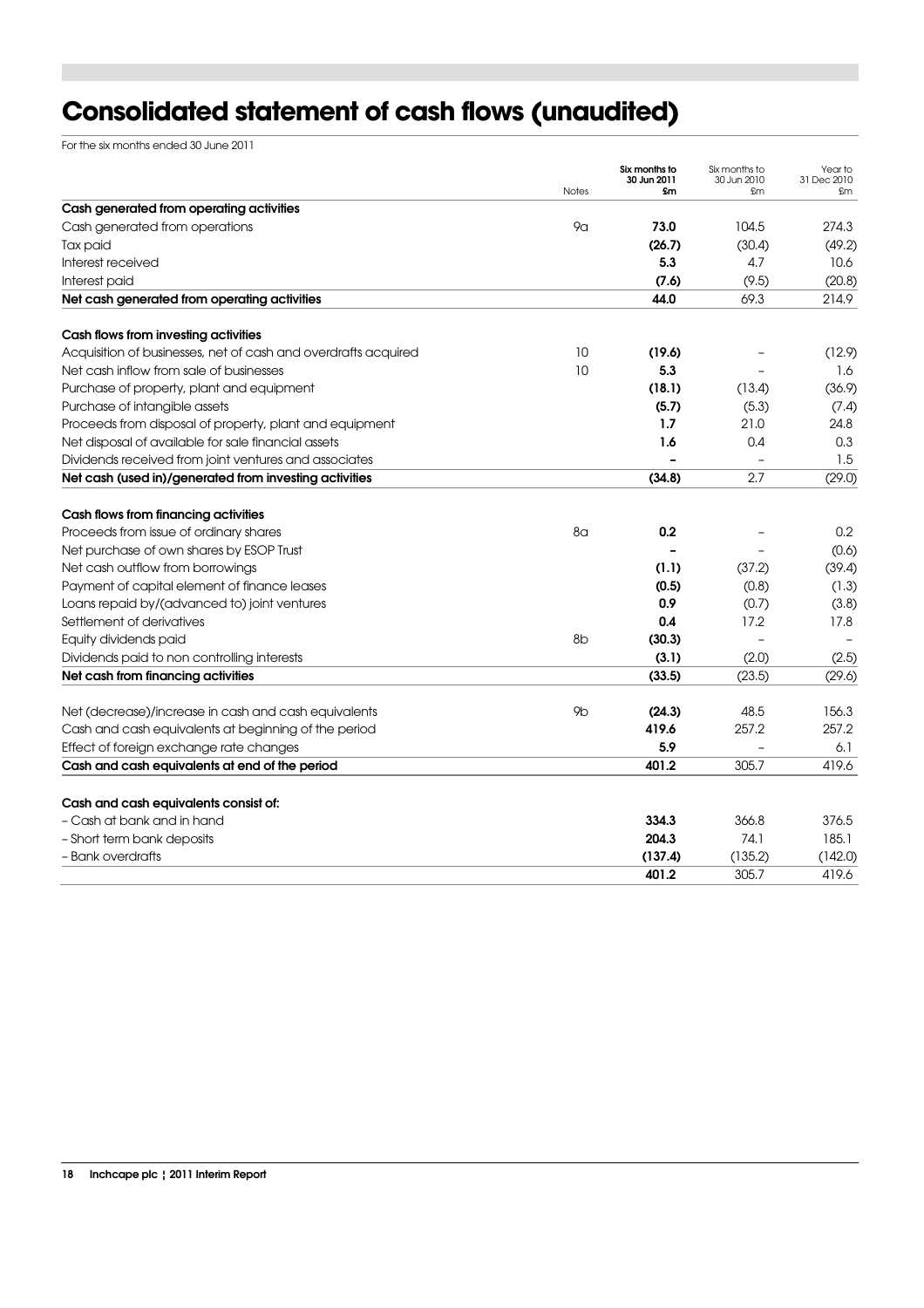# **Consolidated statement of cash flows (unaudited)**

For the six months ended 30 June 2011

|                                                                | <b>Notes</b>   | Six months to<br>30 Jun 2011<br>£m | Six months to<br>30 Jun 2010<br>£m | Year to<br>31 Dec 2010<br>£m |
|----------------------------------------------------------------|----------------|------------------------------------|------------------------------------|------------------------------|
| Cash generated from operating activities                       |                |                                    |                                    |                              |
| Cash generated from operations                                 | 9α             | 73.0                               | 104.5                              | 274.3                        |
| Tax paid                                                       |                | (26.7)                             | (30.4)                             | (49.2)                       |
| Interest received                                              |                | 5.3                                | 4.7                                | 10.6                         |
| Interest paid                                                  |                | (7.6)                              | (9.5)                              | (20.8)                       |
| Net cash generated from operating activities                   |                | 44.0                               | 69.3                               | 214.9                        |
| Cash flows from investing activities                           |                |                                    |                                    |                              |
| Acquisition of businesses, net of cash and overdrafts acquired | 10             | (19.6)                             |                                    | (12.9)                       |
| Net cash inflow from sale of businesses                        | 10             | 5.3                                |                                    | 1.6                          |
| Purchase of property, plant and equipment                      |                | (18.1)                             | (13.4)                             | (36.9)                       |
| Purchase of intangible assets                                  |                | (5.7)                              | (5.3)                              | (7.4)                        |
| Proceeds from disposal of property, plant and equipment        |                | 1.7                                | 21.0                               | 24.8                         |
| Net disposal of available for sale financial assets            |                | 1.6                                | 0.4                                | 0.3                          |
| Dividends received from joint ventures and associates          |                |                                    |                                    | 1.5                          |
| Net cash (used in)/generated from investing activities         |                | (34.8)                             | 2.7                                | (29.0)                       |
| Cash flows from financing activities                           |                |                                    |                                    |                              |
| Proceeds from issue of ordinary shares                         | 8a             | 0.2                                |                                    | 0.2                          |
| Net purchase of own shares by ESOP Trust                       |                |                                    |                                    | (0.6)                        |
| Net cash outflow from borrowings                               |                | (1.1)                              | (37.2)                             | (39.4)                       |
| Payment of capital element of finance leases                   |                | (0.5)                              | (0.8)                              | (1.3)                        |
| Loans repaid by/(advanced to) joint ventures                   |                | 0.9                                | (0.7)                              | (3.8)                        |
| Settlement of derivatives                                      |                | 0.4                                | 17.2                               | 17.8                         |
| Equity dividends paid                                          | 8 <sub>b</sub> | (30.3)                             |                                    |                              |
| Dividends paid to non controlling interests                    |                | (3.1)                              | (2.0)                              | (2.5)                        |
| Net cash from financing activities                             |                | (33.5)                             | (23.5)                             | (29.6)                       |
| Net (decrease)/increase in cash and cash equivalents           | 9 <sub>b</sub> | (24.3)                             | 48.5                               | 156.3                        |
| Cash and cash equivalents at beginning of the period           |                | 419.6                              | 257.2                              | 257.2                        |
| Effect of foreign exchange rate changes                        |                | 5.9                                |                                    | 6.1                          |
| Cash and cash equivalents at end of the period                 |                | 401.2                              | 305.7                              | 419.6                        |
| Cash and cash equivalents consist of:                          |                |                                    |                                    |                              |
| - Cash at bank and in hand                                     |                | 334.3                              | 366.8                              | 376.5                        |
| - Short term bank deposits                                     |                | 204.3                              | 74.1                               | 185.1                        |
| - Bank overdrafts                                              |                | (137.4)                            | (135.2)                            | (142.0)                      |
|                                                                |                | 401.2                              | 305.7                              | 419.6                        |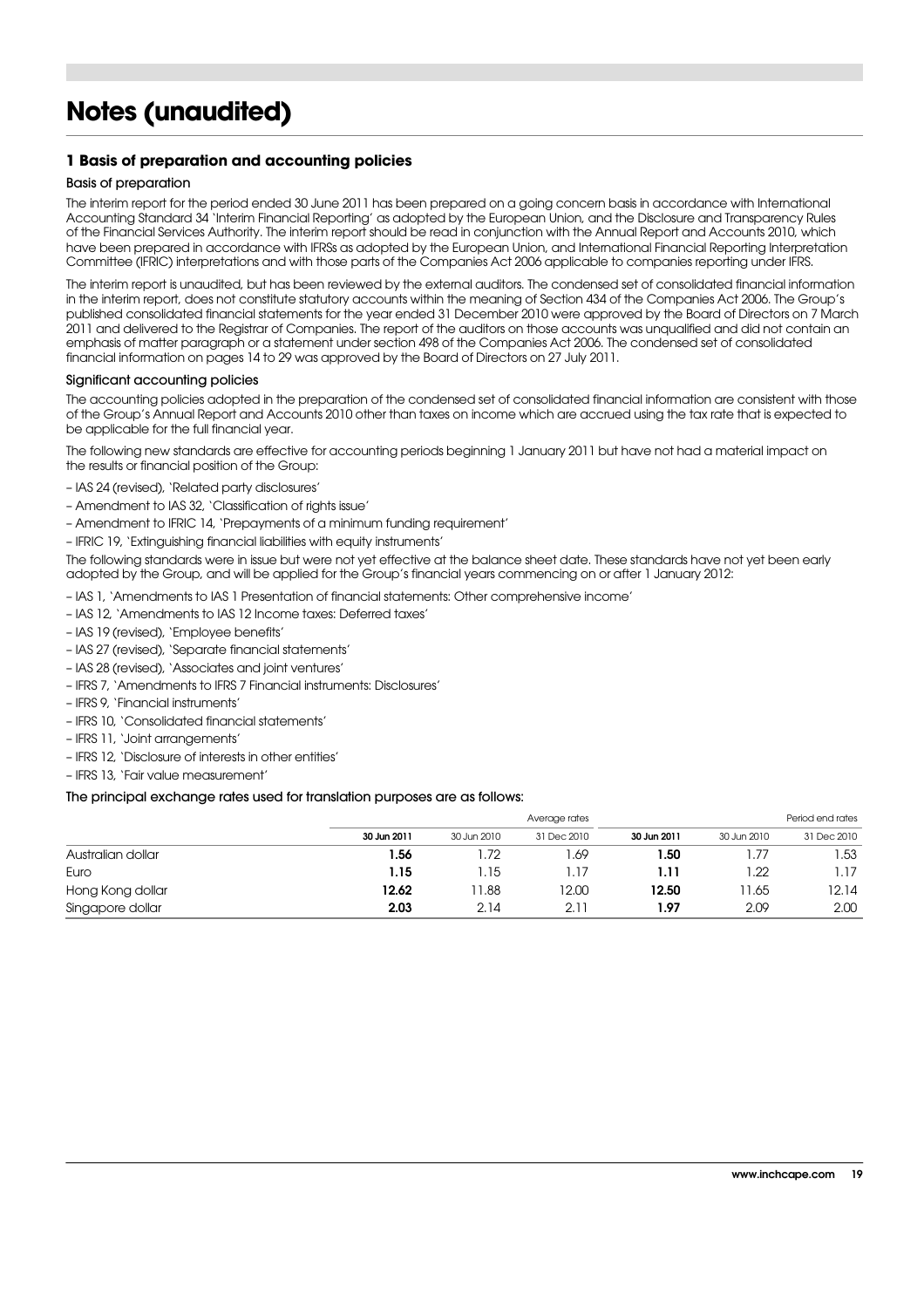# **Notes (unaudited)**

#### **1 Basis of preparation and accounting policies**

#### Basis of preparation

The interim report for the period ended 30 June 2011 has been prepared on a going concern basis in accordance with International Accounting Standard 34 'Interim Financial Reporting' as adopted by the European Union, and the Disclosure and Transparency Rules of the Financial Services Authority. The interim report should be read in conjunction with the Annual Report and Accounts 2010, which have been prepared in accordance with IFRSs as adopted by the European Union, and International Financial Reporting Interpretation Committee (IFRIC) interpretations and with those parts of the Companies Act 2006 applicable to companies reporting under IFRS.

The interim report is unaudited, but has been reviewed by the external auditors. The condensed set of consolidated financial information in the interim report, does not constitute statutory accounts within the meaning of Section 434 of the Companies Act 2006. The Group's published consolidated financial statements for the year ended 31 December 2010 were approved by the Board of Directors on 7 March 2011 and delivered to the Registrar of Companies. The report of the auditors on those accounts was unqualified and did not contain an emphasis of matter paragraph or a statement under section 498 of the Companies Act 2006. The condensed set of consolidated financial information on pages 14 to 29 was approved by the Board of Directors on 27 July 2011.

#### Significant accounting policies

The accounting policies adopted in the preparation of the condensed set of consolidated financial information are consistent with those of the Group's Annual Report and Accounts 2010 other than taxes on income which are accrued using the tax rate that is expected to be applicable for the full financial year.

The following new standards are effective for accounting periods beginning 1 January 2011 but have not had a material impact on the results or financial position of the Group:

- IAS 24 (revised), 'Related party disclosures'
- Amendment to IAS 32, 'Classification of rights issue'
- Amendment to IFRIC 14, 'Prepayments of a minimum funding requirement'
- IFRIC 19, 'Extinguishing financial liabilities with equity instruments'

The following standards were in issue but were not yet effective at the balance sheet date. These standards have not yet been early adopted by the Group, and will be applied for the Group's financial years commencing on or after 1 January 2012:

- IAS 1, 'Amendments to IAS 1 Presentation of financial statements: Other comprehensive income'
- IAS 12, 'Amendments to IAS 12 Income taxes: Deferred taxes'
- IAS 19 (revised), 'Employee benefits'
- IAS 27 (revised), 'Separate financial statements'
- IAS 28 (revised), 'Associates and joint ventures'
- IFRS 7, 'Amendments to IFRS 7 Financial instruments: Disclosures'
- IFRS 9, 'Financial instruments'
- IFRS 10, 'Consolidated financial statements'
- IFRS 11, 'Joint arrangements'
- IFRS 12, 'Disclosure of interests in other entities'
- IFRS 13, 'Fair value measurement'

#### The principal exchange rates used for translation purposes are as follows:

|                   |             |             | Average rates |             |             | Period end rates |  |  |
|-------------------|-------------|-------------|---------------|-------------|-------------|------------------|--|--|
|                   | 30 Jun 2011 | 30 Jun 2010 | 31 Dec 2010   | 30 Jun 2011 | 30 Jun 2010 | 31 Dec 2010      |  |  |
| Australian dollar | 1.56        | .72         | i.69          | 1.50        |             | . 53             |  |  |
| Euro              | 1.15        | 1.15        | l. 17         | 1.11        | .22         | I. 17            |  |  |
| Hong Kong dollar  | 12.62       | 1.88        | 12.00         | 12.50       | 1.65        | 12.14            |  |  |
| Singapore dollar  | 2.03        | 2.14        | 2.11          | 1.97        | 2.09        | 2.00             |  |  |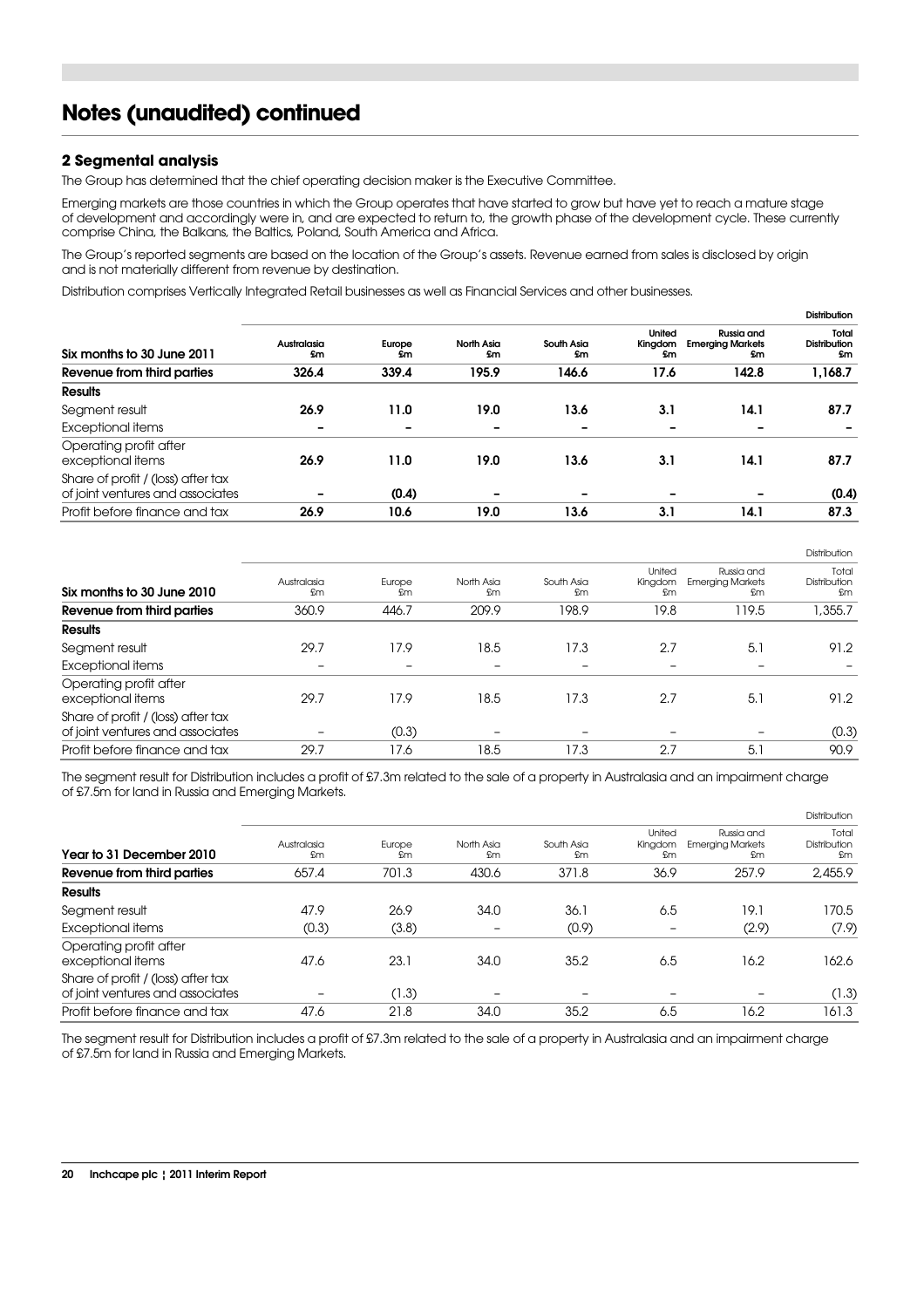### **Notes (unaudited) continued**

#### **2 Segmental analysis**

The Group has determined that the chief operating decision maker is the Executive Committee.

Emerging markets are those countries in which the Group operates that have started to grow but have yet to reach a mature stage of development and accordingly were in, and are expected to return to, the growth phase of the development cycle. These currently comprise China, the Balkans, the Baltics, Poland, South America and Africa.

The Group's reported segments are based on the location of the Group's assets. Revenue earned from sales is disclosed by origin and is not materially different from revenue by destination.

Distribution comprises Vertically Integrated Retail businesses as well as Financial Services and other businesses.

|                                                                        |                          |              |                  |                  |                                |                                             | <b>Distribution</b>                |
|------------------------------------------------------------------------|--------------------------|--------------|------------------|------------------|--------------------------------|---------------------------------------------|------------------------------------|
| Six months to 30 June 2011                                             | Australasia<br>£m        | Europe<br>£m | North Asia<br>£m | South Asia<br>£m | United<br>Kingdom<br><b>Sm</b> | Russia and<br><b>Emerging Markets</b><br>£m | Total<br><b>Distribution</b><br>£m |
| Revenue from third parties                                             | 326.4                    | 339.4        | 195.9            | 146.6            | 17.6                           | 142.8                                       | 1,168.7                            |
| <b>Results</b>                                                         |                          |              |                  |                  |                                |                                             |                                    |
| Segment result                                                         | 26.9                     | 11.0         | 19.0             | 13.6             | 3.1                            | 14.1                                        | 87.7                               |
| Exceptional items                                                      | -                        |              |                  |                  |                                |                                             |                                    |
| Operating profit after<br>exceptional items                            | 26.9                     | 11.0         | 19.0             | 13.6             | 3.1                            | 14.1                                        | 87.7                               |
| Share of profit / (loss) after tax<br>of joint ventures and associates | $\overline{\phantom{0}}$ | (0.4)        | -                | -                | $\overline{\phantom{a}}$       |                                             | (0.4)                              |
| Profit before finance and tax                                          | 26.9                     | 10.6         | 19.0             | 13.6             | 3.1                            | 14.1                                        | 87.3                               |

|                                                                        |                          |              |                          |                  |                          |                                             | <b>Distribution</b>         |
|------------------------------------------------------------------------|--------------------------|--------------|--------------------------|------------------|--------------------------|---------------------------------------------|-----------------------------|
| Six months to 30 June 2010                                             | Australasia<br>£m        | Europe<br>£m | North Asia<br>£m         | South Asia<br>£m | United<br>Kingdom<br>£m  | Russia and<br><b>Emerging Markets</b><br>£m | Total<br>Distribution<br>£m |
| Revenue from third parties                                             | 360.9                    | 446.7        | 209.9                    | 198.9            | 19.8                     | 119.5                                       | 1,355.7                     |
| <b>Results</b>                                                         |                          |              |                          |                  |                          |                                             |                             |
| Segment result                                                         | 29.7                     | 17.9         | 18.5                     | 17.3             | 2.7                      | 5.1                                         | 91.2                        |
| Exceptional items                                                      | $\overline{\phantom{0}}$ | -            | $\overline{\phantom{0}}$ | -                | $\overline{\phantom{0}}$ |                                             |                             |
| Operating profit after<br>exceptional items                            | 29.7                     | 17.9         | 18.5                     | 17.3             | 2.7                      | 5.1                                         | 91.2                        |
| Share of profit / (loss) after tax<br>of joint ventures and associates | -                        | (0.3)        | -                        |                  | $\overline{\phantom{a}}$ |                                             | (0.3)                       |
| Profit before finance and tax                                          | 29.7                     | 17.6         | 18.5                     | 17.3             | 2.7                      | 5.1                                         | 90.9                        |

The segment result for Distribution includes a profit of £7.3m related to the sale of a property in Australasia and an impairment charge of £7.5m for land in Russia and Emerging Markets.

|                                                                        |                   |              |                  |                  |                         |                                             | Distribution                |
|------------------------------------------------------------------------|-------------------|--------------|------------------|------------------|-------------------------|---------------------------------------------|-----------------------------|
| Year to 31 December 2010                                               | Australasia<br>£m | Europe<br>£m | North Asia<br>£m | South Asia<br>£m | United<br>Kingdom<br>£m | Russia and<br><b>Emerging Markets</b><br>£m | Total<br>Distribution<br>£m |
| Revenue from third parties                                             | 657.4             | 701.3        | 430.6            | 371.8            | 36.9                    | 257.9                                       | 2,455.9                     |
| <b>Results</b>                                                         |                   |              |                  |                  |                         |                                             |                             |
| Segment result                                                         | 47.9              | 26.9         | 34.0             | 36.1             | 6.5                     | 19.1                                        | 170.5                       |
| Exceptional items                                                      | (0.3)             | (3.8)        |                  | (0.9)            | -                       | (2.9)                                       | (7.9)                       |
| Operating profit after<br>exceptional items                            | 47.6              | 23.1         | 34.0             | 35.2             | 6.5                     | 16.2                                        | 162.6                       |
| Share of profit / (loss) after tax<br>of joint ventures and associates | -                 | (1.3)        |                  |                  |                         | -                                           | (1.3)                       |
| Profit before finance and tax                                          | 47.6              | 21.8         | 34.0             | 35.2             | 6.5                     | 16.2                                        | 161.3                       |

The segment result for Distribution includes a profit of £7.3m related to the sale of a property in Australasia and an impairment charge of £7.5m for land in Russia and Emerging Markets.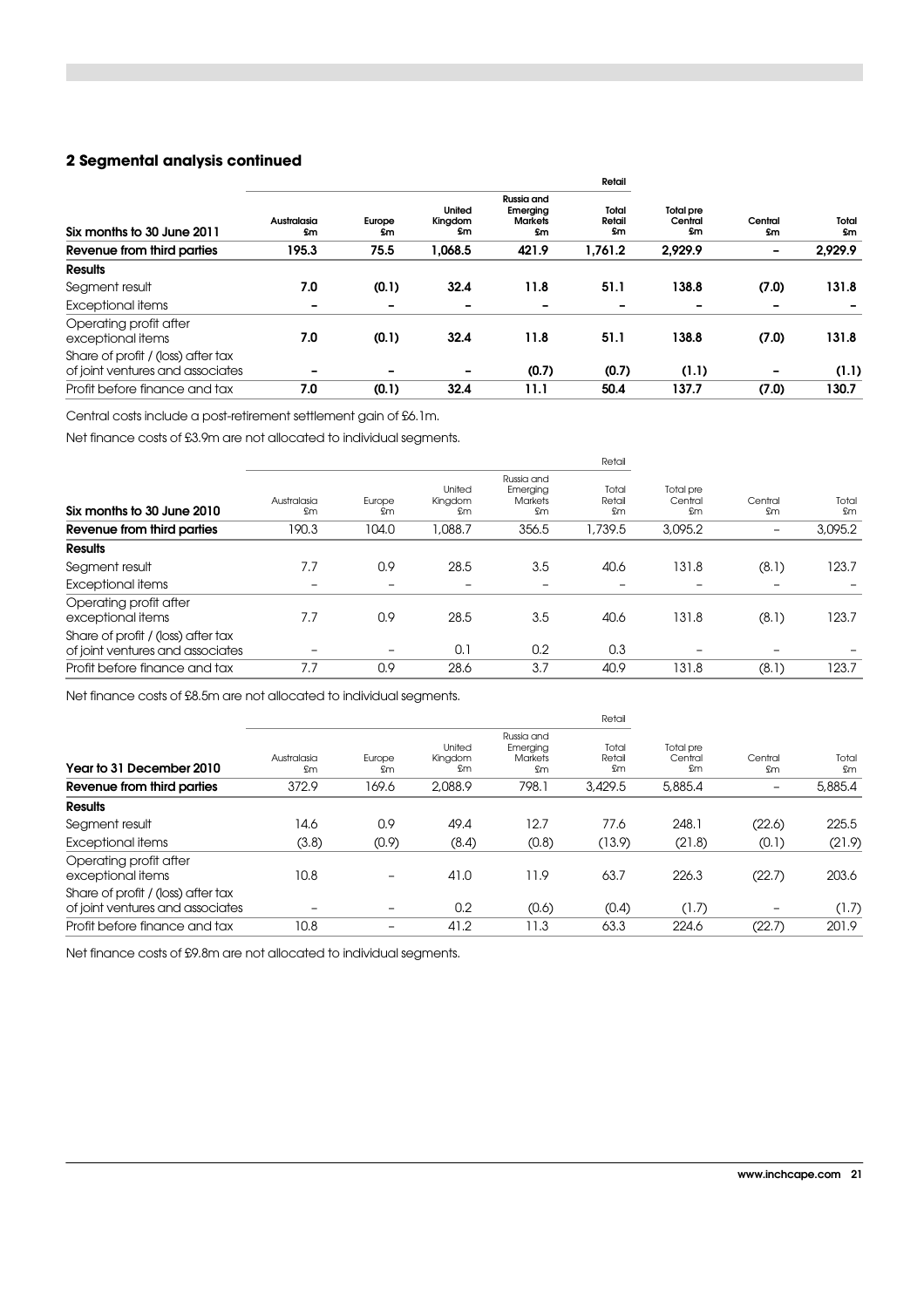#### **2 Segmental analysis continued**

|                                                                        |                          |                          |                          |                                                | Retail                |                                   |                          |              |
|------------------------------------------------------------------------|--------------------------|--------------------------|--------------------------|------------------------------------------------|-----------------------|-----------------------------------|--------------------------|--------------|
| Six months to 30 June 2011                                             | Australasia<br><b>Sm</b> | Europe<br>£m             | United<br>Kingdom<br>£m  | Russia and<br>Emerging<br><b>Markets</b><br>£m | Total<br>Retail<br>£m | <b>Total pre</b><br>Central<br>£m | Central<br><b>Sm</b>     | Total<br>\$m |
| Revenue from third parties                                             | 195.3                    | 75.5                     | 1,068.5                  | 421.9                                          | 1,761.2               | 2,929.9                           | $\overline{\phantom{a}}$ | 2,929.9      |
| <b>Results</b>                                                         |                          |                          |                          |                                                |                       |                                   |                          |              |
| Segment result                                                         | 7.0                      | (0.1)                    | 32.4                     | 11.8                                           | 51.1                  | 138.8                             | (7.0)                    | 131.8        |
| <b>Exceptional items</b>                                               | -                        | $\overline{\phantom{0}}$ |                          |                                                |                       |                                   | -                        |              |
| Operating profit after<br>exceptional items                            | 7.0                      | (0.1)                    | 32.4                     | 11.8                                           | 51.1                  | 138.8                             | (7.0)                    | 131.8        |
| Share of profit / (loss) after tax<br>of joint ventures and associates |                          | $\overline{\phantom{0}}$ | $\overline{\phantom{0}}$ | (0.7)                                          | (0.7)                 | (1.1)                             | -                        | (1.1)        |
| Profit before finance and tax                                          | 7.0                      | (0.1)                    | 32.4                     | 11.1                                           | 50.4                  | 137.7                             | (7.0)                    | 130.7        |

Central costs include a post-retirement settlement gain of £6.1m.

Net finance costs of £3.9m are not allocated to individual segments.

|                                                                        |                   |              |                         |                                                        | Retail                        |                                    |                 |                     |  |  |  |
|------------------------------------------------------------------------|-------------------|--------------|-------------------------|--------------------------------------------------------|-------------------------------|------------------------------------|-----------------|---------------------|--|--|--|
| Six months to 30 June 2010                                             | Australasia<br>£m | Europe<br>£m | United<br>Kingdom<br>£m | Russia and<br>Emerging<br><b>Markets</b><br><b>fim</b> | Total<br>Retail<br><b>fim</b> | Total pre<br>Central<br><b>fim</b> | Central<br>£m   | Total<br><b>fim</b> |  |  |  |
| Revenue from third parties                                             | 190.3             | 104.0        | 1,088.7                 | 356.5                                                  | 1,739.5                       | 3,095.2                            | $\qquad \qquad$ | 3,095.2             |  |  |  |
| <b>Results</b>                                                         |                   |              |                         |                                                        |                               |                                    |                 |                     |  |  |  |
| Segment result                                                         | 7.7               | 0.9          | 28.5                    | 3.5                                                    | 40.6                          | 131.8                              | (8.1)           | 123.7               |  |  |  |
| Exceptional items                                                      | $\equiv$          | -            |                         | -                                                      | -                             | $\equiv$                           |                 |                     |  |  |  |
| Operating profit after<br>exceptional items                            | 7.7               | 0.9          | 28.5                    | 3.5                                                    | 40.6                          | 131.8                              | (8.1)           | 123.7               |  |  |  |
| Share of profit / (loss) after tax<br>of joint ventures and associates |                   | -            | 0.1                     | 0.2                                                    | 0.3                           | -                                  |                 |                     |  |  |  |
| Profit before finance and tax                                          | 7.7               | 0.9          | 28.6                    | 3.7                                                    | 40.9                          | 131.8                              | (8.1)           | 123.7               |  |  |  |
|                                                                        |                   |              |                         |                                                        |                               |                                    |                 |                     |  |  |  |

Net finance costs of £8.5m are not allocated to individual segments.

|                                                                        |                   |              |                         |                                                | Retail                |                                             |                   |             |  |  |
|------------------------------------------------------------------------|-------------------|--------------|-------------------------|------------------------------------------------|-----------------------|---------------------------------------------|-------------------|-------------|--|--|
| Year to 31 December 2010                                               | Australasia<br>£m | Europe<br>£m | United<br>Kingdom<br>£m | Russia and<br>Emerging<br><b>Markets</b><br>£m | Total<br>Retail<br>£m | Total pre<br>Central<br>Central<br>£m<br>£m |                   | Total<br>£m |  |  |
| Revenue from third parties                                             | 372.9             | 169.6        | 2,088.9                 | 798.1                                          | 3,429.5               | 5,885.4                                     | $\qquad \qquad -$ | 5,885.4     |  |  |
| <b>Results</b>                                                         |                   |              |                         |                                                |                       |                                             |                   |             |  |  |
| Segment result                                                         | 14.6              | 0.9          | 49.4                    | 12.7                                           | 77.6                  | 248.1                                       | (22.6)            | 225.5       |  |  |
| Exceptional items                                                      | (3.8)             | (0.9)        | (8.4)                   | (0.8)                                          | (13.9)                | (21.8)                                      | (0.1)             | (21.9)      |  |  |
| Operating profit after<br>exceptional items                            | 10.8              | -            | 41.0                    | 11.9                                           | 63.7                  | 226.3                                       | (22.7)            | 203.6       |  |  |
| Share of profit / (loss) after tax<br>of joint ventures and associates | -                 | -            | 0.2                     | (0.6)                                          | (0.4)                 | (1.7)                                       |                   | (1.7)       |  |  |
| Profit before finance and tax                                          | 10.8              | -            | 41.2                    | 11.3                                           | 63.3                  | 224.6                                       | (22.7)            | 201.9       |  |  |

Net finance costs of £9.8m are not allocated to individual segments.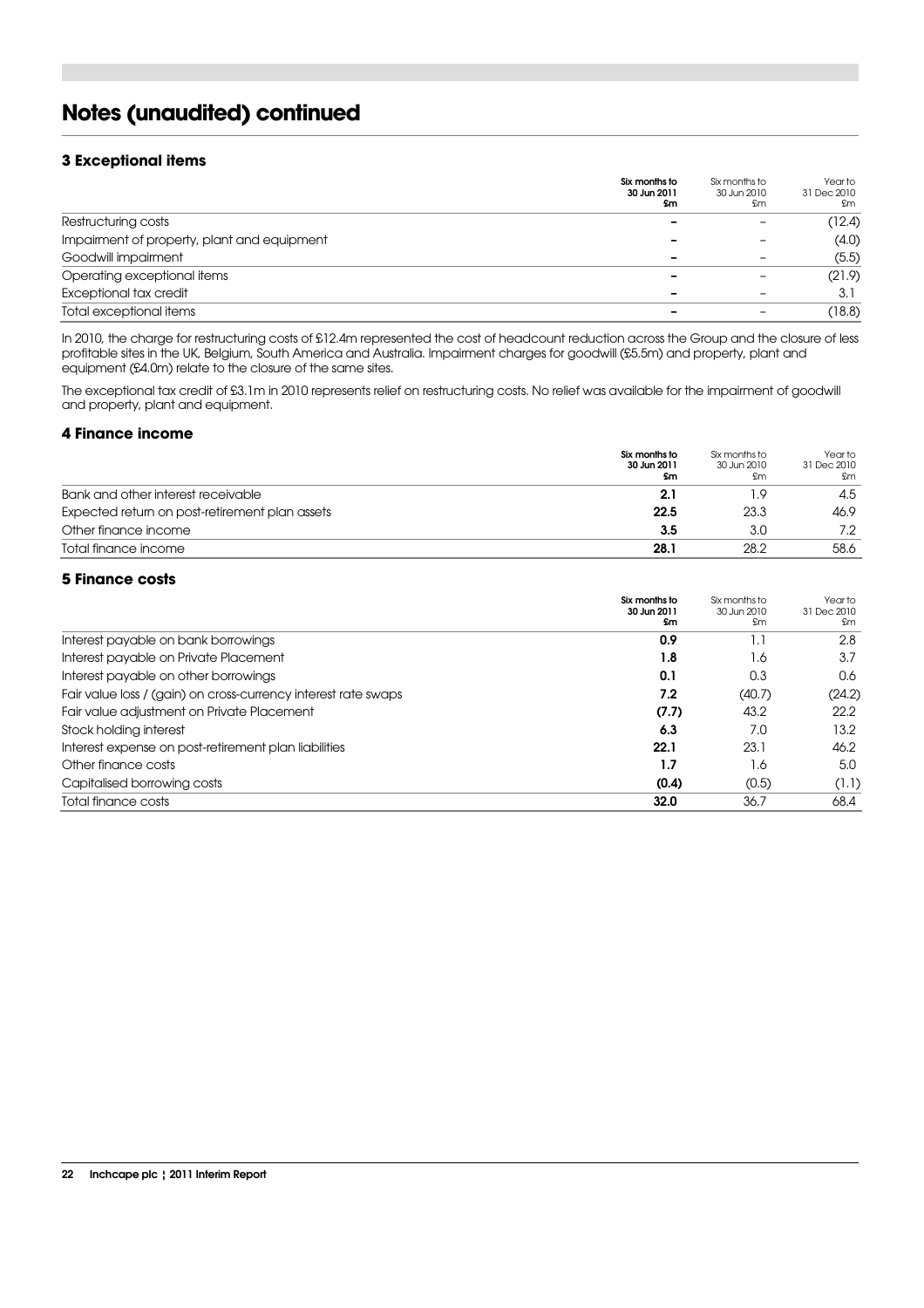# **Notes (unaudited) continued**

#### **3 Exceptional items**

|                                             | Six months to<br>30 Jun 2011<br>£m | Six months to<br>30 Jun 2010<br>£m | Year to<br>31 Dec 2010<br>£m |
|---------------------------------------------|------------------------------------|------------------------------------|------------------------------|
| Restructuring costs                         |                                    |                                    | (12.4)                       |
| Impairment of property, plant and equipment |                                    | -                                  | (4.0)                        |
| Goodwill impairment                         | -                                  | -                                  | (5.5)                        |
| Operating exceptional items                 |                                    | -                                  | (21.9)                       |
| Exceptional tax credit                      | -                                  | -                                  | 3.1                          |
| Total exceptional items                     | -                                  | $\overline{\phantom{0}}$           | (18.8)                       |

In 2010, the charge for restructuring costs of £12.4m represented the cost of headcount reduction across the Group and the closure of less profitable sites in the UK, Belgium, South America and Australia. Impairment charges for goodwill (£5.5m) and property, plant and equipment (£4.0m) relate to the closure of the same sites.

The exceptional tax credit of £3.1m in 2010 represents relief on restructuring costs. No relief was available for the impairment of goodwill and property, plant and equipment.

#### **4 Finance income**

|                                                | Six months to<br>30 Jun 2011<br><b>Sm</b> | Six months to<br>30 Jun 2010<br>£m | Year to<br>31 Dec 2010<br>£m |
|------------------------------------------------|-------------------------------------------|------------------------------------|------------------------------|
| Bank and other interest receivable             | 2.1                                       |                                    | 4.5                          |
| Expected return on post-retirement plan assets | 22.5                                      | 23.3                               | 46.9                         |
| Other finance income                           | 3.5                                       | 3.0                                | 7.2                          |
| Total finance income                           | 28.1                                      | 28.2                               | 58.6                         |

#### **5 Finance costs**

|                                                                | Six months to<br>30 Jun 2011<br>£m | Six months to<br>30 Jun 2010<br>£m | Year to<br>31 Dec 2010<br>£m |
|----------------------------------------------------------------|------------------------------------|------------------------------------|------------------------------|
| Interest payable on bank borrowings                            | 0.9                                | 1.1                                | 2.8                          |
| Interest payable on Private Placement                          | 1.8                                | 1.6                                | 3.7                          |
| Interest payable on other borrowings                           | 0.1                                | 0.3                                | 0.6                          |
| Fair value loss / (gain) on cross-currency interest rate swaps | 7.2                                | (40.7)                             | (24.2)                       |
| Fair value adjustment on Private Placement                     | (7.7)                              | 43.2                               | 22.2                         |
| Stock holding interest                                         | 6.3                                | 7.0                                | 13.2                         |
| Interest expense on post-retirement plan liabilities           | 22.1                               | 23.1                               | 46.2                         |
| Other finance costs                                            | 1.7                                | 1.6                                | 5.0                          |
| Capitalised borrowing costs                                    | (0.4)                              | (0.5)                              | (1.1)                        |
| Total finance costs                                            | 32.0                               | 36.7                               | 68.4                         |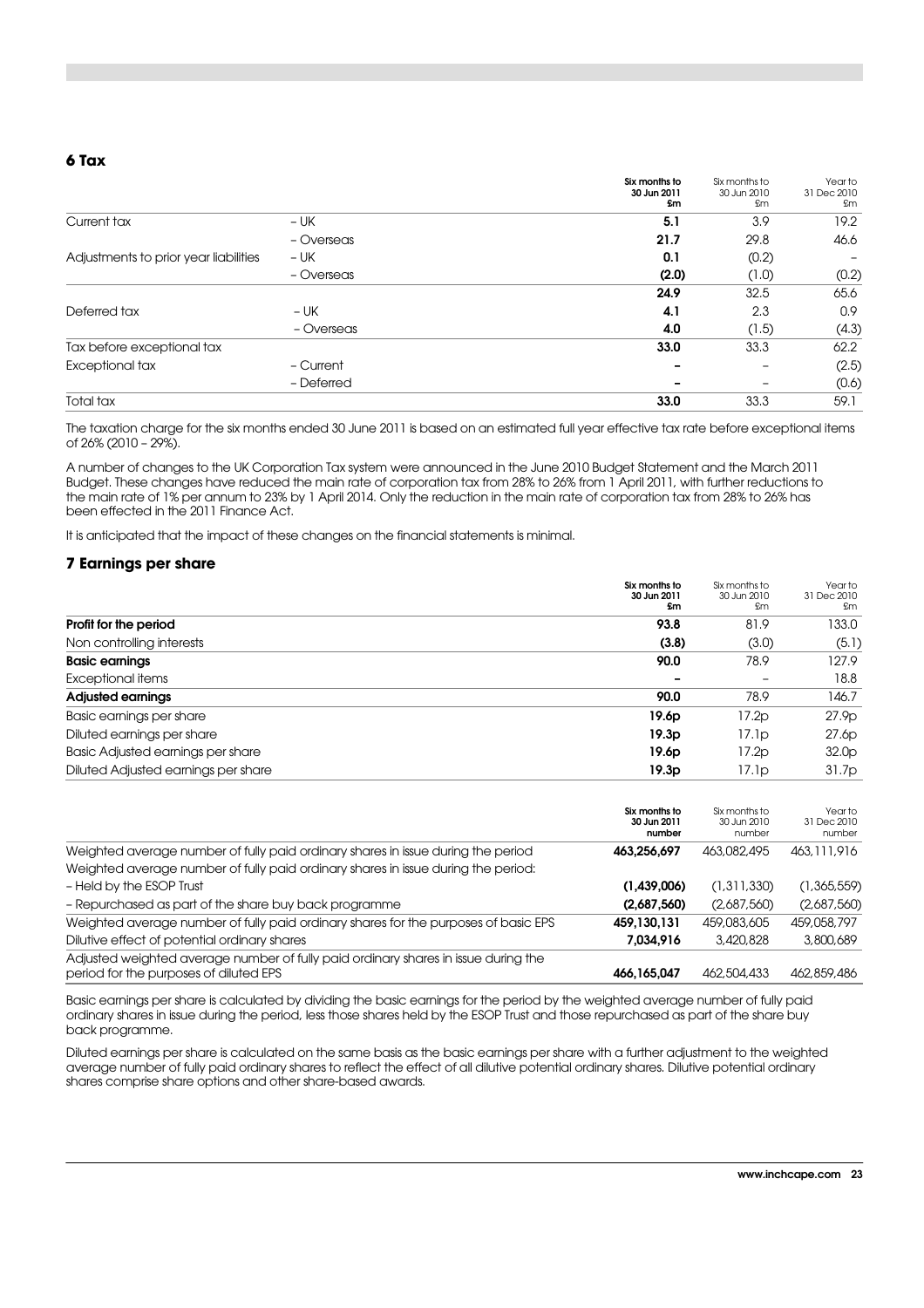#### **6 Tax**

|                                       |            | Six months to<br>30 Jun 2011<br>£m | Six months to<br>30 Jun 2010<br>£m | Year to<br>31 Dec 2010<br>£m |
|---------------------------------------|------------|------------------------------------|------------------------------------|------------------------------|
| Current tax                           | $- UK$     | 5.1                                | 3.9                                | 19.2                         |
|                                       | - Overseas | 21.7                               | 29.8                               | 46.6                         |
| Adjustments to prior year liabilities | $- UK$     | 0.1                                | (0.2)                              |                              |
|                                       | - Overseas | (2.0)                              | (1.0)                              | (0.2)                        |
|                                       |            | 24.9                               | 32.5                               | 65.6                         |
| Deferred tax                          | – UK       | 4.1                                | 2.3                                | 0.9                          |
|                                       | - Overseas | 4.0                                | (1.5)                              | (4.3)                        |
| Tax before exceptional tax            |            | 33.0                               | 33.3                               | 62.2                         |
| Exceptional tax                       | - Current  |                                    |                                    | (2.5)                        |
|                                       | - Deferred |                                    |                                    | (0.6)                        |
| Total tax                             |            | 33.0                               | 33.3                               | 59.1                         |

The taxation charge for the six months ended 30 June 2011 is based on an estimated full year effective tax rate before exceptional items of 26% (2010 – 29%).

A number of changes to the UK Corporation Tax system were announced in the June 2010 Budget Statement and the March 2011 Budget. These changes have reduced the main rate of corporation tax from 28% to 26% from 1 April 2011, with further reductions to the main rate of 1% per annum to 23% by 1 April 2014. Only the reduction in the main rate of corporation tax from 28% to 26% has been effected in the 2011 Finance Act.

It is anticipated that the impact of these changes on the financial statements is minimal.

#### **7 Earnings per share**

|                                     | Six months to<br>30 Jun 2011<br>\$m | Six months to<br>30 Jun 2010<br>£m | Year to<br>31 Dec 2010<br>£m |
|-------------------------------------|-------------------------------------|------------------------------------|------------------------------|
| Profit for the period               | 93.8                                | 81.9                               | 133.0                        |
| Non controlling interests           | (3.8)                               | (3.0)                              | (5.1)                        |
| <b>Basic earnings</b>               | 90.0                                | 78.9                               | 127.9                        |
| Exceptional items                   |                                     | $\overline{\phantom{a}}$           | 18.8                         |
| <b>Adjusted earnings</b>            | 90.0                                | 78.9                               | 146.7                        |
| Basic earnings per share            | 19.6 <sub>p</sub>                   | 17.2p                              | 27.9 <sub>D</sub>            |
| Diluted earnings per share          | 19.3p                               | 17.1p                              | 27.6p                        |
| Basic Adjusted earnings per share   | 19.6 <sub>p</sub>                   | 17.2p                              | 32.0 <sub>p</sub>            |
| Diluted Adjusted earnings per share | 19.3p                               | 17.1p                              | 31.7p                        |

|                                                                                                                              | Six months to<br>30 Jun 2011<br>number | Six months to<br>30 Jun 2010<br>number | Year to<br>31 Dec 2010<br>number |
|------------------------------------------------------------------------------------------------------------------------------|----------------------------------------|----------------------------------------|----------------------------------|
| Weighted average number of fully paid ordinary shares in issue during the period                                             | 463.256.697                            | 463,082,495                            | 463, 111, 916                    |
| Weighted average number of fully paid ordinary shares in issue during the period:                                            |                                        |                                        |                                  |
| - Held by the ESOP Trust                                                                                                     | (1,439,006)                            | (1,311,330)                            | (1,365,559)                      |
| - Repurchased as part of the share buy back programme                                                                        | (2,687,560)                            | (2,687,560)                            | (2,687,560)                      |
| Weighted average number of fully paid ordinary shares for the purposes of basic EPS                                          | 459.130.131                            | 459,083,605                            | 459,058,797                      |
| Dilutive effect of potential ordinary shares                                                                                 | 7.034.916                              | 3,420,828                              | 3,800,689                        |
| Adjusted weighted average number of fully paid ordinary shares in issue during the<br>period for the purposes of diluted EPS | 466,165,047                            | 462,504,433                            | 462,859,486                      |

Basic earnings per share is calculated by dividing the basic earnings for the period by the weighted average number of fully paid ordinary shares in issue during the period, less those shares held by the ESOP Trust and those repurchased as part of the share buy back programme.

Diluted earnings per share is calculated on the same basis as the basic earnings per share with a further adjustment to the weighted average number of fully paid ordinary shares to reflect the effect of all dilutive potential ordinary shares. Dilutive potential ordinary shares comprise share options and other share-based awards.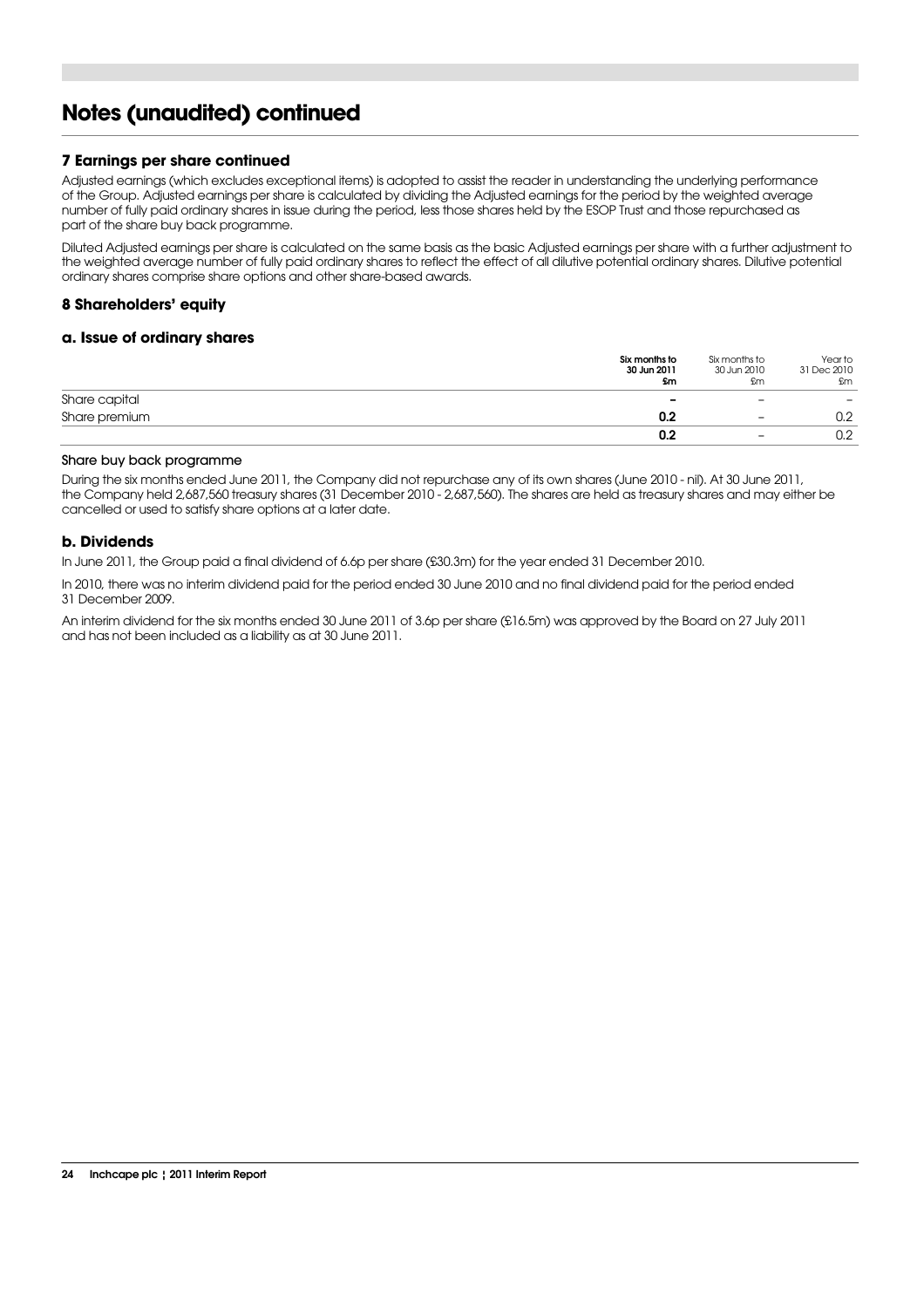### **Notes (unaudited) continued**

#### **7 Earnings per share continued**

Adjusted earnings (which excludes exceptional items) is adopted to assist the reader in understanding the underlying performance of the Group. Adjusted earnings per share is calculated by dividing the Adjusted earnings for the period by the weighted average number of fully paid ordinary shares in issue during the period, less those shares held by the ESOP Trust and those repurchased as part of the share buy back programme.

Diluted Adjusted earnings per share is calculated on the same basis as the basic Adjusted earnings per share with a further adjustment to the weighted average number of fully paid ordinary shares to reflect the effect of all dilutive potential ordinary shares. Dilutive potential ordinary shares comprise share options and other share-based awards.

#### **8 Shareholders' equity**

#### **a. Issue of ordinary shares**

|               | Six months to<br>30 Jun 2011<br>£m | Six months to<br>30 Jun 2010<br>£m | Year to<br>31 Dec 2010<br>£m |
|---------------|------------------------------------|------------------------------------|------------------------------|
| Share capital | $\overline{\phantom{0}}$           | $\overline{\phantom{0}}$           | -                            |
| Share premium | 0.2                                | $\overline{\phantom{0}}$           | 0.2                          |
|               | 0.2                                | $\overline{\phantom{0}}$           | 0.2                          |

#### Share buy back programme

During the six months ended June 2011, the Company did not repurchase any of its own shares (June 2010 - nil). At 30 June 2011, the Company held 2,687,560 treasury shares (31 December 2010 - 2,687,560). The shares are held as treasury shares and may either be cancelled or used to satisfy share options at a later date.

#### **b. Dividends**

In June 2011, the Group paid a final dividend of 6.6p per share (£30.3m) for the year ended 31 December 2010.

In 2010, there was no interim dividend paid for the period ended 30 June 2010 and no final dividend paid for the period ended 31 December 2009.

An interim dividend for the six months ended 30 June 2011 of 3.6p per share (£16.5m) was approved by the Board on 27 July 2011 and has not been included as a liability as at 30 June 2011.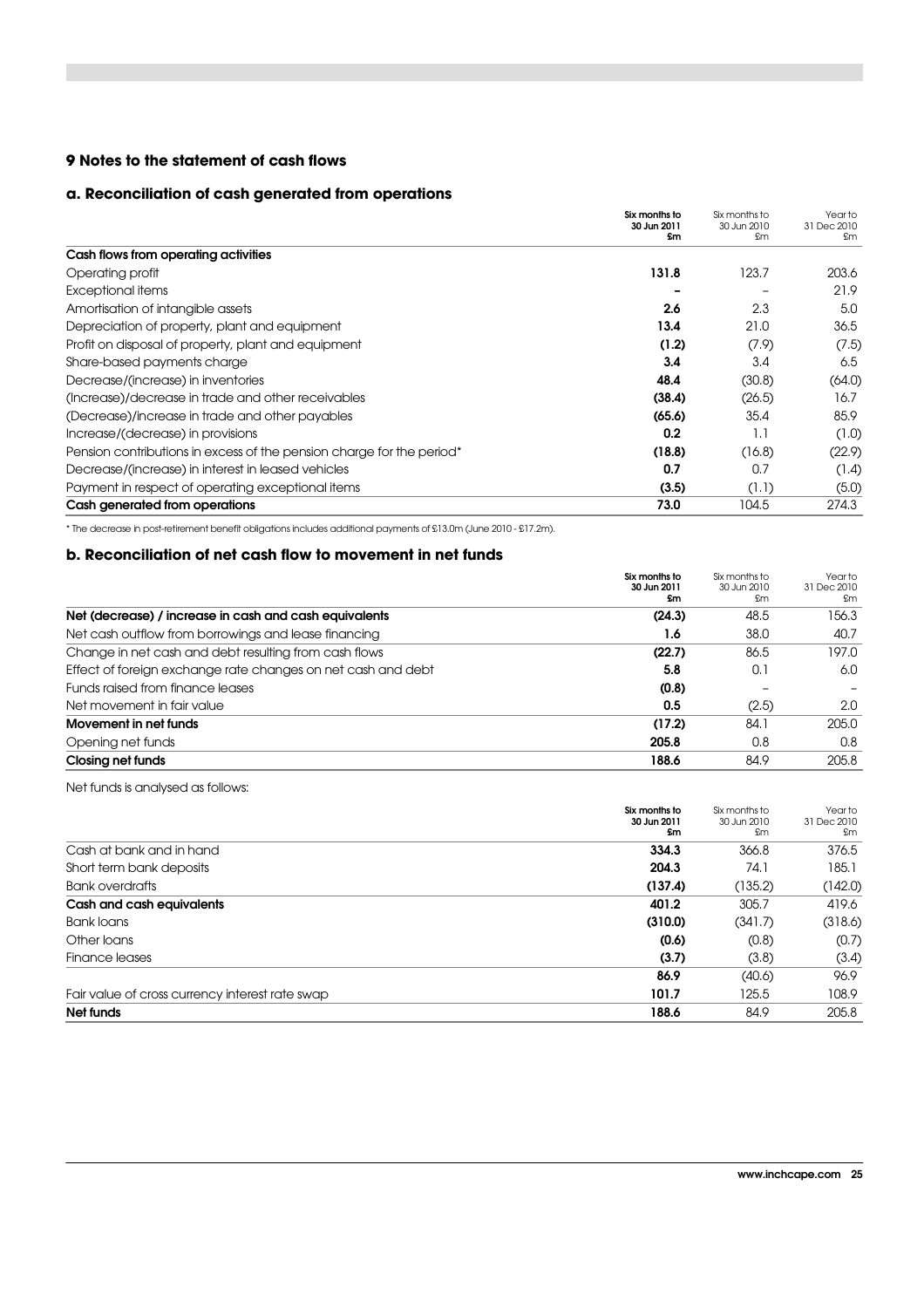#### **9 Notes to the statement of cash flows**

#### **a. Reconciliation of cash generated from operations**

|                                                                       | Six months to<br>30 Jun 2011 | Six months to<br>30 Jun 2010 | Year to<br>31 Dec 2010 |
|-----------------------------------------------------------------------|------------------------------|------------------------------|------------------------|
|                                                                       | <b>Sm</b>                    | £m                           | £m                     |
| Cash flows from operating activities                                  |                              |                              |                        |
| Operating profit                                                      | 131.8                        | 123.7                        | 203.6                  |
| Exceptional items                                                     |                              |                              | 21.9                   |
| Amortisation of intangible assets                                     | 2.6                          | 2.3                          | 5.0                    |
| Depreciation of property, plant and equipment                         | 13.4                         | 21.0                         | 36.5                   |
| Profit on disposal of property, plant and equipment                   | (1.2)                        | (7.9)                        | (7.5)                  |
| Share-based payments charge                                           | 3.4                          | 3.4                          | 6.5                    |
| Decrease/(increase) in inventories                                    | 48.4                         | (30.8)                       | (64.0)                 |
| (Increase)/decrease in trade and other receivables                    | (38.4)                       | (26.5)                       | 16.7                   |
| (Decrease)/increase in trade and other payables                       | (65.6)                       | 35.4                         | 85.9                   |
| Increase/(decrease) in provisions                                     | 0.2                          | 1.1                          | (1.0)                  |
| Pension contributions in excess of the pension charge for the period* | (18.8)                       | (16.8)                       | (22.9)                 |
| Decrease/(increase) in interest in leased vehicles                    | 0.7                          | 0.7                          | (1.4)                  |
| Payment in respect of operating exceptional items                     | (3.5)                        | (1.1)                        | (5.0)                  |
| Cash generated from operations                                        | 73.0                         | 104.5                        | 274.3                  |

\* The decrease in post-retirement benefit obligations includes additional payments of £13.0m (June 2010 - £17.2m).

#### **b. Reconciliation of net cash flow to movement in net funds**

|                                                              | Six months to<br>30 Jun 2011<br>£m | Six months to<br>30 Jun 2010<br>£m | Year to<br>31 Dec 2010<br>£m |
|--------------------------------------------------------------|------------------------------------|------------------------------------|------------------------------|
| Net (decrease) / increase in cash and cash equivalents       | (24.3)                             | 48.5                               | 156.3                        |
| Net cash outflow from borrowings and lease financing         | 1.6                                | 38.0                               | 40.7                         |
| Change in net cash and debt resulting from cash flows        | (22.7)                             | 86.5                               | 197.0                        |
| Effect of foreign exchange rate changes on net cash and debt | 5.8                                | 0.1                                | 6.0                          |
| Funds raised from finance leases                             | (0.8)                              |                                    |                              |
| Net movement in fair value                                   | 0.5                                | (2.5)                              | 2.0                          |
| Movement in net funds                                        | (17.2)                             | 84.1                               | 205.0                        |
| Opening net funds                                            | 205.8                              | 0.8                                | 0.8                          |
| <b>Closing net funds</b>                                     | 188.6                              | 84.9                               | 205.8                        |

Net funds is analysed as follows:

|                                                 | Six months to<br>30 Jun 2011<br>£m | Six months to<br>30 Jun 2010<br>£m | Year to<br>31 Dec 2010<br>£m |
|-------------------------------------------------|------------------------------------|------------------------------------|------------------------------|
| Cash at bank and in hand                        | 334.3                              | 366.8                              | 376.5                        |
| Short term bank deposits                        | 204.3                              | 74.1                               | 185.1                        |
| <b>Bank overdrafts</b>                          | (137.4)                            | (135.2)                            | (142.0)                      |
| Cash and cash equivalents                       | 401.2                              | 305.7                              | 419.6                        |
| <b>Bank loans</b>                               | (310.0)                            | (341.7)                            | (318.6)                      |
| Other loans                                     | (0.6)                              | (0.8)                              | (0.7)                        |
| Finance leases                                  | (3.7)                              | (3.8)                              | (3.4)                        |
|                                                 | 86.9                               | (40.6)                             | 96.9                         |
| Fair value of cross currency interest rate swap | 101.7                              | 125.5                              | 108.9                        |
| Net funds                                       | 188.6                              | 84.9                               | 205.8                        |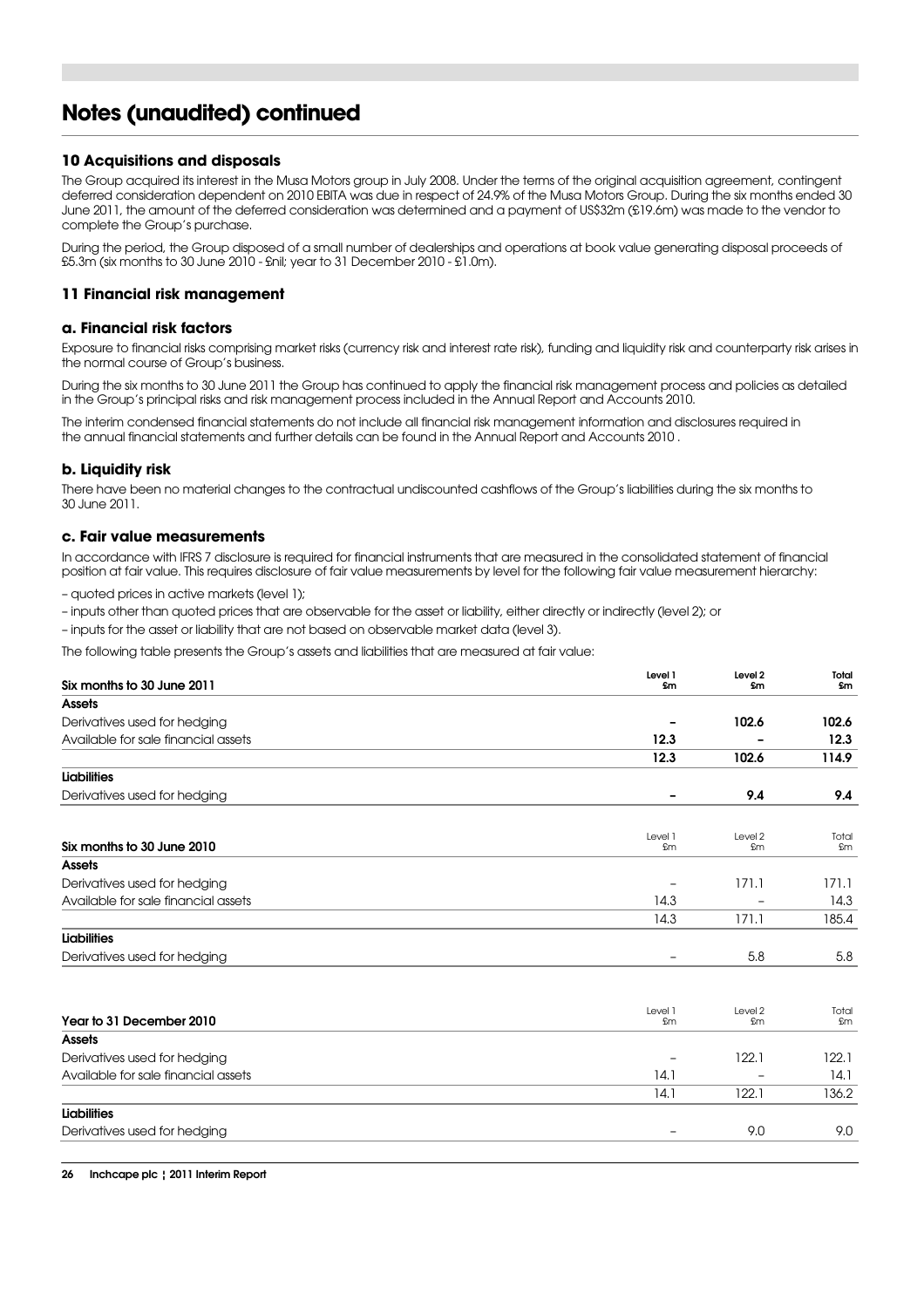## **Notes (unaudited) continued**

#### **10 Acquisitions and disposals**

The Group acquired its interest in the Musa Motors group in July 2008. Under the terms of the original acquisition agreement, contingent deferred consideration dependent on 2010 EBITA was due in respect of 24.9% of the Musa Motors Group. During the six months ended 30 June 2011, the amount of the deferred consideration was determined and a payment of US\$32m (£19.6m) was made to the vendor to complete the Group's purchase.

During the period, the Group disposed of a small number of dealerships and operations at book value generating disposal proceeds of £5.3m (six months to 30 June 2010 - £nil; year to 31 December 2010 - £1.0m).

#### **11 Financial risk management**

#### **a. Financial risk factors**

Exposure to financial risks comprising market risks (currency risk and interest rate risk), funding and liquidity risk and counterparty risk arises in the normal course of Group's business.

During the six months to 30 June 2011 the Group has continued to apply the financial risk management process and policies as detailed in the Group's principal risks and risk management process included in the Annual Report and Accounts 2010.

The interim condensed financial statements do not include all financial risk management information and disclosures required in the annual financial statements and further details can be found in the Annual Report and Accounts 2010 .

#### **b. Liquidity risk**

There have been no material changes to the contractual undiscounted cashflows of the Group's liabilities during the six months to 30 June 2011.

#### **c. Fair value measurements**

In accordance with IFRS 7 disclosure is required for financial instruments that are measured in the consolidated statement of financial position at fair value. This requires disclosure of fair value measurements by level for the following fair value measurement hierarchy:

– quoted prices in active markets (level 1);

- inputs other than quoted prices that are observable for the asset or liability, either directly or indirectly (level 2); or
- inputs for the asset or liability that are not based on observable market data (level 3).

The following table presents the Group's assets and liabilities that are measured at fair value:

| Six months to 30 June 2011          | Level 1<br>£m            | Level 2<br>£m | Total<br>£m |
|-------------------------------------|--------------------------|---------------|-------------|
| Assets                              |                          |               |             |
| Derivatives used for hedging        |                          | 102.6         | 102.6       |
| Available for sale financial assets | 12.3                     |               | 12.3        |
|                                     | 12.3                     | 102.6         | 114.9       |
| <b>Liabilities</b>                  |                          |               |             |
| Derivatives used for hedging        |                          | 9.4           | 9.4         |
| Six months to 30 June 2010          | Level 1<br>£m            | Level 2<br>£m | Total<br>£m |
| <b>Assets</b>                       |                          |               |             |
| Derivatives used for hedging        |                          | 171.1         | 171.1       |
| Available for sale financial assets | 14.3                     |               | 14.3        |
|                                     |                          |               |             |
|                                     | 14.3                     | 171.1         | 185.4       |
| <b>Liabilities</b>                  |                          |               |             |
| Derivatives used for hedging        | $\overline{\phantom{a}}$ | 5.8           | 5.8         |
| Year to 31 December 2010            | Level 1<br>£m            | Level 2<br>£m | Total<br>£m |
| <b>Assets</b>                       |                          |               |             |
| Derivatives used for hedging        |                          | 122.1         | 122.1       |
| Available for sale financial assets | 14.1                     |               | 14.1        |
|                                     | 14.1                     | 122.1         | 136.2       |
| <b>Liabilities</b>                  |                          |               |             |
| Derivatives used for hedging        | -                        | 9.0           | 9.0         |
|                                     |                          |               |             |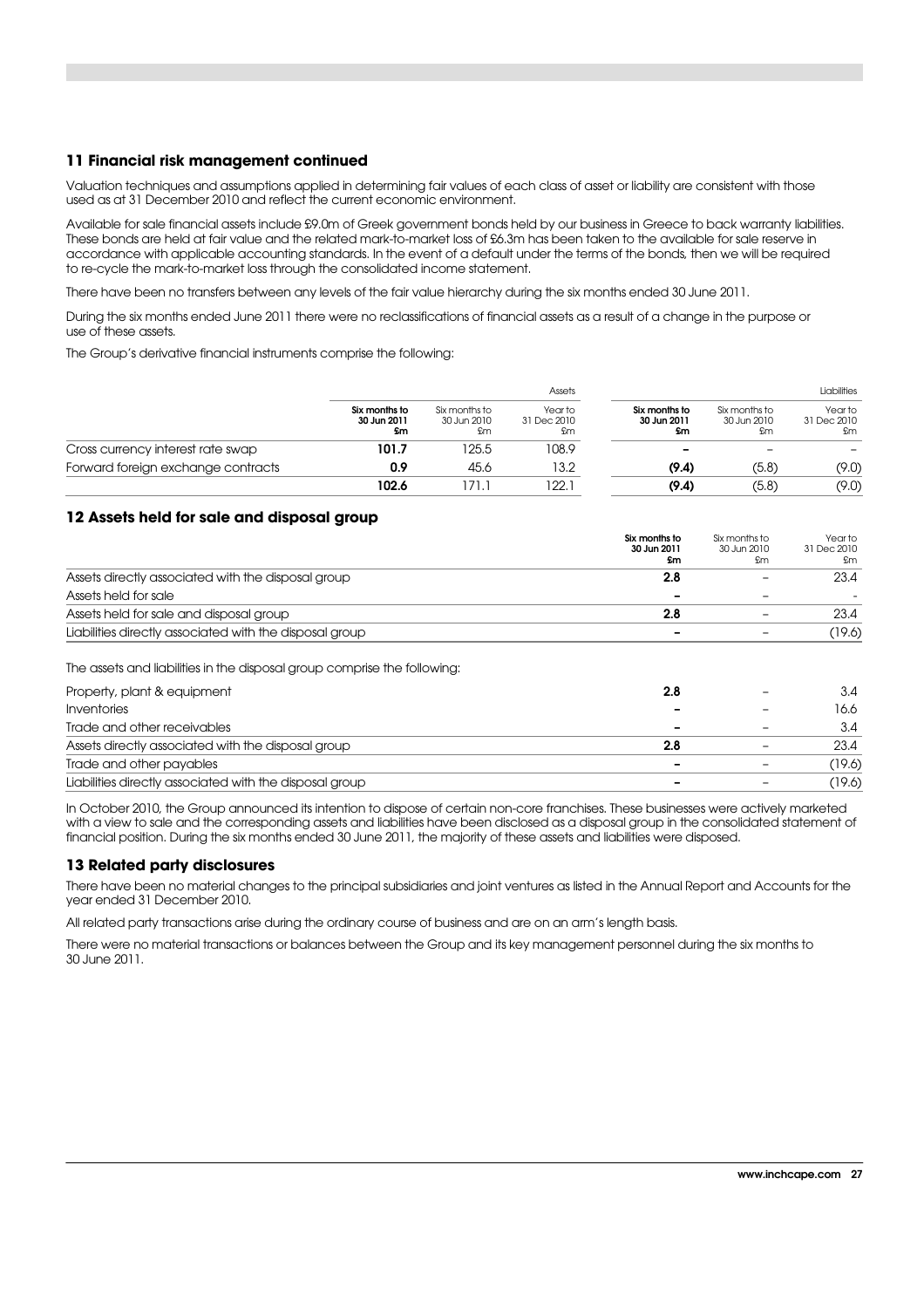#### **11 Financial risk management continued**

Valuation techniques and assumptions applied in determining fair values of each class of asset or liability are consistent with those used as at 31 December 2010 and reflect the current economic environment.

Available for sale financial assets include £9.0m of Greek government bonds held by our business in Greece to back warranty liabilities. These bonds are held at fair value and the related mark-to-market loss of £6.3m has been taken to the available for sale reserve in accordance with applicable accounting standards. In the event of a default under the terms of the bonds, then we will be required to re-cycle the mark-to-market loss through the consolidated income statement.

There have been no transfers between any levels of the fair value hierarchy during the six months ended 30 June 2011.

During the six months ended June 2011 there were no reclassifications of financial assets as a result of a change in the purpose or use of these assets.

The Group's derivative financial instruments comprise the following:

|                                    |                                    |                                    | Assets                       |                                    |                                    | Liabilities                  |
|------------------------------------|------------------------------------|------------------------------------|------------------------------|------------------------------------|------------------------------------|------------------------------|
|                                    | Six months to<br>30 Jun 2011<br>£m | Six months to<br>30 Jun 2010<br>£m | Year to<br>31 Dec 2010<br>£m | Six months to<br>30 Jun 2011<br>£m | Six months to<br>30 Jun 2010<br>£m | Year to<br>31 Dec 2010<br>£m |
| Cross currency interest rate swap  | 101.7                              | 125.5                              | 108.9                        | -                                  |                                    |                              |
| Forward foreign exchange contracts | 0.9                                | 45.6                               | 13.2                         | (9.4)                              | (5.8)                              | (9.0)                        |
|                                    | 102.6                              | 71                                 | 22.1                         | (9.4)                              | (5.8)                              | (9.0)                        |

#### **12 Assets held for sale and disposal group**

|                                                         | Six months to<br>30 Jun 2011<br>£m | Six months to<br>30 Jun 2010<br>£m | Year to<br>31 Dec 2010<br>£m |
|---------------------------------------------------------|------------------------------------|------------------------------------|------------------------------|
| Assets directly associated with the disposal group      | 2.8                                |                                    | 23.4                         |
| Assets held for sale                                    | $\overline{\phantom{0}}$           | -                                  |                              |
| Assets held for sale and disposal group                 | 2.8                                |                                    | 23.4                         |
| Liabilities directly associated with the disposal group |                                    |                                    | (19.6)                       |

The assets and liabilities in the disposal group comprise the following:

| Property, plant & equipment                             | 2.8 | -                        | 3.4    |
|---------------------------------------------------------|-----|--------------------------|--------|
| <i><u><b>Inventories</b></u></i>                        |     | $\overline{\phantom{0}}$ | 16.6   |
| Trade and other receivables                             | -   | $\overline{\phantom{0}}$ | 3.4    |
| Assets directly associated with the disposal group      | 2.8 | $\overline{\phantom{a}}$ | 23.4   |
| Trade and other payables                                | -   | ۰                        | (19.6) |
| Liabilities directly associated with the disposal group | -   | -                        | (19.6) |

In October 2010, the Group announced its intention to dispose of certain non-core franchises. These businesses were actively marketed with a view to sale and the corresponding assets and liabilities have been disclosed as a disposal group in the consolidated statement of financial position. During the six months ended 30 June 2011, the majority of these assets and liabilities were disposed.

#### **13 Related party disclosures**

There have been no material changes to the principal subsidiaries and joint ventures as listed in the Annual Report and Accounts for the year ended 31 December 2010.

All related party transactions arise during the ordinary course of business and are on an arm's length basis.

There were no material transactions or balances between the Group and its key management personnel during the six months to 30 June 2011.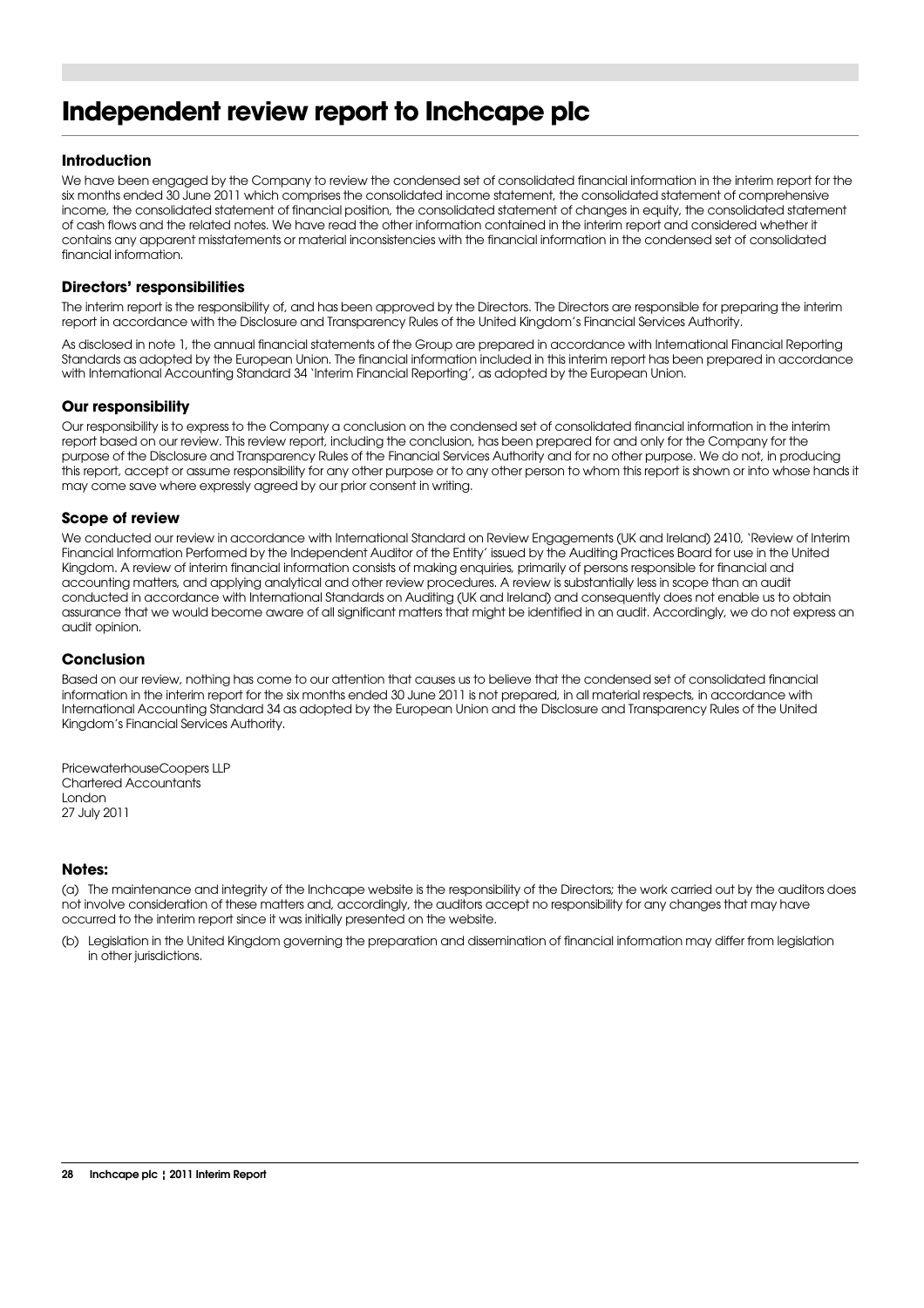## **Independent review report to Inchcape plc**

#### **Introduction**

We have been engaged by the Company to review the condensed set of consolidated financial information in the interim report for the six months ended 30 June 2011 which comprises the consolidated income statement, the consolidated statement of comprehensive income, the consolidated statement of financial position, the consolidated statement of changes in equity, the consolidated statement of cash flows and the related notes. We have read the other information contained in the interim report and considered whether it contains any apparent misstatements or material inconsistencies with the financial information in the condensed set of consolidated financial information.

#### **Directors' responsibilities**

The interim report is the responsibility of, and has been approved by the Directors. The Directors are responsible for preparing the interim report in accordance with the Disclosure and Transparency Rules of the United Kingdom's Financial Services Authority.

As disclosed in note 1, the annual financial statements of the Group are prepared in accordance with International Financial Reporting Standards as adopted by the European Union. The financial information included in this interim report has been prepared in accordance with International Accounting Standard 34 'Interim Financial Reporting', as adopted by the European Union.

#### **Our responsibility**

Our responsibility is to express to the Company a conclusion on the condensed set of consolidated financial information in the interim report based on our review. This review report, including the conclusion, has been prepared for and only for the Company for the purpose of the Disclosure and Transparency Rules of the Financial Services Authority and for no other purpose. We do not, in producing this report, accept or assume responsibility for any other purpose or to any other person to whom this report is shown or into whose hands it may come save where expressly agreed by our prior consent in writing.

#### **Scope of review**

We conducted our review in accordance with International Standard on Review Engagements (UK and Ireland) 2410, 'Review of Interim Financial Information Performed by the Independent Auditor of the Entity' issued by the Auditing Practices Board for use in the United Kingdom. A review of interim financial information consists of making enquiries, primarily of persons responsible for financial and accounting matters, and applying analytical and other review procedures. A review is substantially less in scope than an audit conducted in accordance with International Standards on Auditing (UK and Ireland) and consequently does not enable us to obtain assurance that we would become aware of all significant matters that might be identified in an audit. Accordingly, we do not express an audit opinion.

#### **Conclusion**

Based on our review, nothing has come to our attention that causes us to believe that the condensed set of consolidated financial information in the interim report for the six months ended 30 June 2011 is not prepared, in all material respects, in accordance with International Accounting Standard 34 as adopted by the European Union and the Disclosure and Transparency Rules of the United Kingdom's Financial Services Authority.

PricewaterhouseCoopers LLP Chartered Accountants London 27 July 2011

#### **Notes:**

(a) The maintenance and integrity of the Inchcape website is the responsibility of the Directors; the work carried out by the auditors does not involve consideration of these matters and, accordingly, the auditors accept no responsibility for any changes that may have occurred to the interim report since it was initially presented on the website.

(b) Legislation in the United Kingdom governing the preparation and dissemination of financial information may differ from legislation in other jurisdictions.